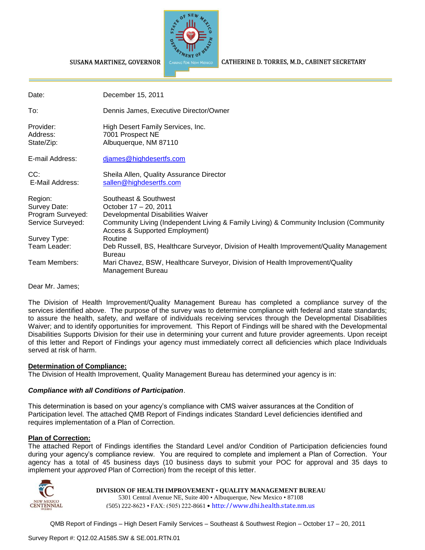

#### CATHERINE D. TORRES, M.D., CABINET SECRETARY

| Date:                                                             | December 15, 2011                                                                                                                                                                                                          |
|-------------------------------------------------------------------|----------------------------------------------------------------------------------------------------------------------------------------------------------------------------------------------------------------------------|
| To:                                                               | Dennis James, Executive Director/Owner                                                                                                                                                                                     |
| Provider:<br>Address:<br>State/Zip:                               | High Desert Family Services, Inc.<br>7001 Prospect NE<br>Albuquerque, NM 87110                                                                                                                                             |
| E-mail Address:                                                   | <u>diames@highdesertfs.com</u>                                                                                                                                                                                             |
| CC:<br>E-Mail Address:                                            | Sheila Allen, Quality Assurance Director<br>sallen@highdesertfs.com                                                                                                                                                        |
| Region:<br>Survey Date:<br>Program Surveyed:<br>Service Surveyed: | Southeast & Southwest<br>October 17 - 20, 2011<br>Developmental Disabilities Waiver<br>Community Living (Independent Living & Family Living) & Community Inclusion (Community<br><b>Access &amp; Supported Employment)</b> |
| Survey Type:<br>Team Leader:                                      | Routine<br>Deb Russell, BS, Healthcare Surveyor, Division of Health Improvement/Quality Management<br><b>Bureau</b>                                                                                                        |
| Team Members:                                                     | Mari Chavez, BSW, Healthcare Surveyor, Division of Health Improvement/Quality<br>Management Bureau                                                                                                                         |

Dear Mr. James;

The Division of Health Improvement/Quality Management Bureau has completed a compliance survey of the services identified above. The purpose of the survey was to determine compliance with federal and state standards; to assure the health, safety, and welfare of individuals receiving services through the Developmental Disabilities Waiver; and to identify opportunities for improvement. This Report of Findings will be shared with the Developmental Disabilities Supports Division for their use in determining your current and future provider agreements. Upon receipt of this letter and Report of Findings your agency must immediately correct all deficiencies which place Individuals served at risk of harm.

#### **Determination of Compliance:**

The Division of Health Improvement, Quality Management Bureau has determined your agency is in:

#### *Compliance with all Conditions of Participation*.

SUSANA MARTINEZ, GOVERNOR

This determination is based on your agency's compliance with CMS waiver assurances at the Condition of Participation level. The attached QMB Report of Findings indicates Standard Level deficiencies identified and requires implementation of a Plan of Correction.

#### **Plan of Correction:**

The attached Report of Findings identifies the Standard Level and/or Condition of Participation deficiencies found during your agency's compliance review. You are required to complete and implement a Plan of Correction. Your agency has a total of 45 business days (10 business days to submit your POC for approval and 35 days to implement your *approved* Plan of Correction) from the receipt of this letter.



#### **DIVISION OF HEALTH IMPROVEMENT** • **QUALITY MANAGEMENT BUREAU**

5301 Central Avenue NE, Suite 400 • Albuquerque, New Mexico • 87108 (505) 222-8623 • FAX: (505) 222-8661 • http://www.dhi.health.state.nm.us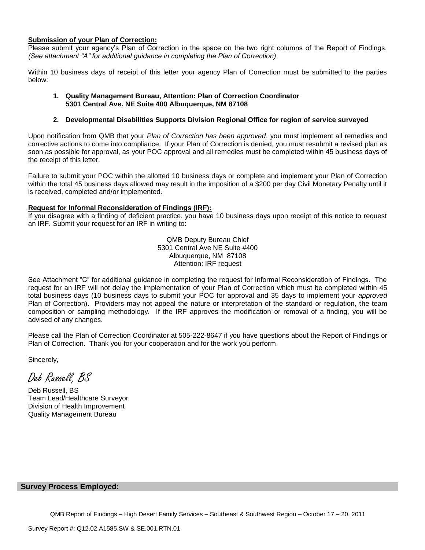#### **Submission of your Plan of Correction:**

Please submit your agency's Plan of Correction in the space on the two right columns of the Report of Findings. *(See attachment "A" for additional guidance in completing the Plan of Correction)*.

Within 10 business days of receipt of this letter your agency Plan of Correction must be submitted to the parties below:

#### **1. Quality Management Bureau, Attention: Plan of Correction Coordinator 5301 Central Ave. NE Suite 400 Albuquerque, NM 87108**

#### **2. Developmental Disabilities Supports Division Regional Office for region of service surveyed**

Upon notification from QMB that your *Plan of Correction has been approved*, you must implement all remedies and corrective actions to come into compliance. If your Plan of Correction is denied, you must resubmit a revised plan as soon as possible for approval, as your POC approval and all remedies must be completed within 45 business days of the receipt of this letter.

Failure to submit your POC within the allotted 10 business days or complete and implement your Plan of Correction within the total 45 business days allowed may result in the imposition of a \$200 per day Civil Monetary Penalty until it is received, completed and/or implemented.

#### **Request for Informal Reconsideration of Findings (IRF):**

If you disagree with a finding of deficient practice, you have 10 business days upon receipt of this notice to request an IRF. Submit your request for an IRF in writing to:

> QMB Deputy Bureau Chief 5301 Central Ave NE Suite #400 Albuquerque, NM 87108 Attention: IRF request

See Attachment "C" for additional guidance in completing the request for Informal Reconsideration of Findings. The request for an IRF will not delay the implementation of your Plan of Correction which must be completed within 45 total business days (10 business days to submit your POC for approval and 35 days to implement your *approved* Plan of Correction). Providers may not appeal the nature or interpretation of the standard or regulation, the team composition or sampling methodology. If the IRF approves the modification or removal of a finding, you will be advised of any changes.

Please call the Plan of Correction Coordinator at 505-222-8647 if you have questions about the Report of Findings or Plan of Correction. Thank you for your cooperation and for the work you perform.

Sincerely,

Deb Russell, BS

Deb Russell, BS Team Lead/Healthcare Surveyor Division of Health Improvement Quality Management Bureau

#### **Survey Process Employed:**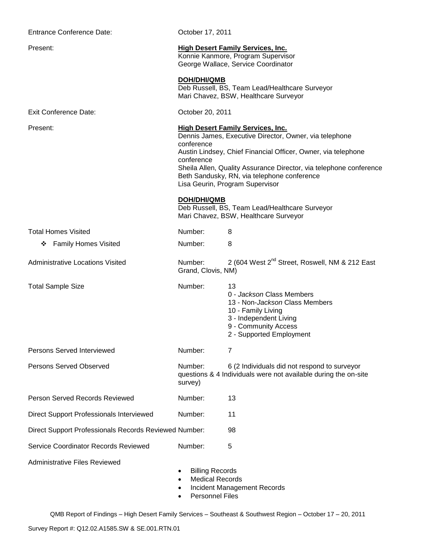| <b>Entrance Conference Date:</b>                      | October 17, 2011                                                                                                                                                                                                                                                                                                                                        |                                                                                                                                                                       |  |
|-------------------------------------------------------|---------------------------------------------------------------------------------------------------------------------------------------------------------------------------------------------------------------------------------------------------------------------------------------------------------------------------------------------------------|-----------------------------------------------------------------------------------------------------------------------------------------------------------------------|--|
| Present:                                              | <b>High Desert Family Services, Inc.</b><br>Konnie Kanmore, Program Supervisor<br>George Wallace, Service Coordinator                                                                                                                                                                                                                                   |                                                                                                                                                                       |  |
|                                                       | <b>DOH/DHI/QMB</b>                                                                                                                                                                                                                                                                                                                                      | Deb Russell, BS, Team Lead/Healthcare Surveyor<br>Mari Chavez, BSW, Healthcare Surveyor                                                                               |  |
| <b>Exit Conference Date:</b>                          | October 20, 2011                                                                                                                                                                                                                                                                                                                                        |                                                                                                                                                                       |  |
| Present:                                              | <b>High Desert Family Services, Inc.</b><br>Dennis James, Executive Director, Owner, via telephone<br>conference<br>Austin Lindsey, Chief Financial Officer, Owner, via telephone<br>conference<br>Sheila Allen, Quality Assurance Director, via telephone conference<br>Beth Sandusky, RN, via telephone conference<br>Lisa Geurin, Program Supervisor |                                                                                                                                                                       |  |
|                                                       | <b>DOH/DHI/QMB</b>                                                                                                                                                                                                                                                                                                                                      | Deb Russell, BS, Team Lead/Healthcare Surveyor<br>Mari Chavez, BSW, Healthcare Surveyor                                                                               |  |
| <b>Total Homes Visited</b>                            | Number:                                                                                                                                                                                                                                                                                                                                                 | 8                                                                                                                                                                     |  |
| ❖ Family Homes Visited                                | Number:                                                                                                                                                                                                                                                                                                                                                 | 8                                                                                                                                                                     |  |
| <b>Administrative Locations Visited</b>               | Number:<br>Grand, Clovis, NM)                                                                                                                                                                                                                                                                                                                           | 2 (604 West 2 <sup>nd</sup> Street, Roswell, NM & 212 East                                                                                                            |  |
| <b>Total Sample Size</b>                              | Number:                                                                                                                                                                                                                                                                                                                                                 | 13<br>0 - Jackson Class Members<br>13 - Non-Jackson Class Members<br>10 - Family Living<br>3 - Independent Living<br>9 - Community Access<br>2 - Supported Employment |  |
| <b>Persons Served Interviewed</b>                     | Number:                                                                                                                                                                                                                                                                                                                                                 | 7                                                                                                                                                                     |  |
| <b>Persons Served Observed</b>                        | Number:<br>survey)                                                                                                                                                                                                                                                                                                                                      | 6 (2 Individuals did not respond to surveyor<br>questions & 4 Individuals were not available during the on-site                                                       |  |
| Person Served Records Reviewed                        | Number:                                                                                                                                                                                                                                                                                                                                                 | 13                                                                                                                                                                    |  |
| Direct Support Professionals Interviewed              | Number:                                                                                                                                                                                                                                                                                                                                                 | 11                                                                                                                                                                    |  |
| Direct Support Professionals Records Reviewed Number: |                                                                                                                                                                                                                                                                                                                                                         | 98                                                                                                                                                                    |  |
| Service Coordinator Records Reviewed                  | Number:                                                                                                                                                                                                                                                                                                                                                 | 5                                                                                                                                                                     |  |
| <b>Administrative Files Reviewed</b>                  | <b>Billing Records</b><br><b>Medical Records</b><br><b>Personnel Files</b>                                                                                                                                                                                                                                                                              | Incident Management Records                                                                                                                                           |  |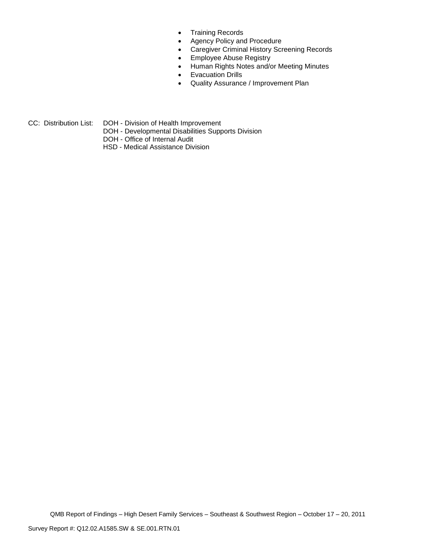- Training Records
- Agency Policy and Procedure
- Caregiver Criminal History Screening Records
- **Employee Abuse Registry**
- Human Rights Notes and/or Meeting Minutes
- **•** Evacuation Drills
- Quality Assurance / Improvement Plan
- CC: Distribution List: DOH Division of Health Improvement
	- DOH Developmental Disabilities Supports Division
	- DOH Office of Internal Audit
	- HSD Medical Assistance Division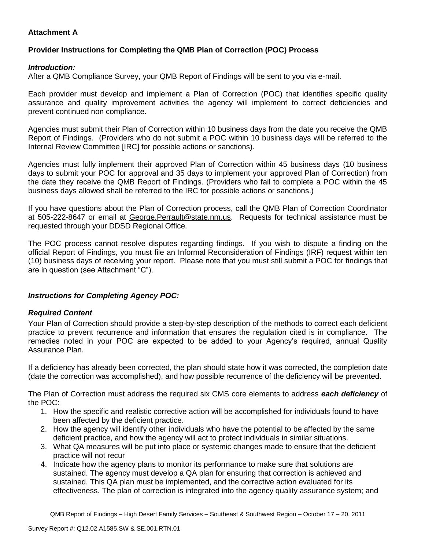# **Attachment A**

# **Provider Instructions for Completing the QMB Plan of Correction (POC) Process**

### *Introduction:*

After a QMB Compliance Survey, your QMB Report of Findings will be sent to you via e-mail.

Each provider must develop and implement a Plan of Correction (POC) that identifies specific quality assurance and quality improvement activities the agency will implement to correct deficiencies and prevent continued non compliance.

Agencies must submit their Plan of Correction within 10 business days from the date you receive the QMB Report of Findings. (Providers who do not submit a POC within 10 business days will be referred to the Internal Review Committee [IRC] for possible actions or sanctions).

Agencies must fully implement their approved Plan of Correction within 45 business days (10 business days to submit your POC for approval and 35 days to implement your approved Plan of Correction) from the date they receive the QMB Report of Findings. (Providers who fail to complete a POC within the 45 business days allowed shall be referred to the IRC for possible actions or sanctions.)

If you have questions about the Plan of Correction process, call the QMB Plan of Correction Coordinator at 505-222-8647 or email at George. Perrault@state.nm.us. Requests for technical assistance must be requested through your DDSD Regional Office.

The POC process cannot resolve disputes regarding findings. If you wish to dispute a finding on the official Report of Findings, you must file an Informal Reconsideration of Findings (IRF) request within ten (10) business days of receiving your report. Please note that you must still submit a POC for findings that are in question (see Attachment "C").

# *Instructions for Completing Agency POC:*

# *Required Content*

Your Plan of Correction should provide a step-by-step description of the methods to correct each deficient practice to prevent recurrence and information that ensures the regulation cited is in compliance. The remedies noted in your POC are expected to be added to your Agency's required, annual Quality Assurance Plan.

If a deficiency has already been corrected, the plan should state how it was corrected, the completion date (date the correction was accomplished), and how possible recurrence of the deficiency will be prevented.

The Plan of Correction must address the required six CMS core elements to address *each deficiency* of the POC:

- 1. How the specific and realistic corrective action will be accomplished for individuals found to have been affected by the deficient practice.
- 2. How the agency will identify other individuals who have the potential to be affected by the same deficient practice, and how the agency will act to protect individuals in similar situations.
- 3. What QA measures will be put into place or systemic changes made to ensure that the deficient practice will not recur
- 4. Indicate how the agency plans to monitor its performance to make sure that solutions are sustained. The agency must develop a QA plan for ensuring that correction is achieved and sustained. This QA plan must be implemented, and the corrective action evaluated for its effectiveness. The plan of correction is integrated into the agency quality assurance system; and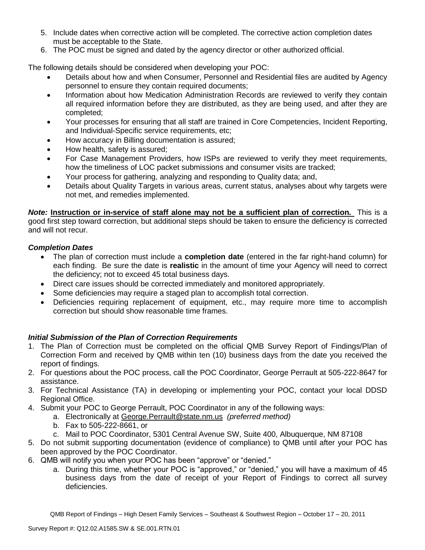- 5. Include dates when corrective action will be completed. The corrective action completion dates must be acceptable to the State.
- 6. The POC must be signed and dated by the agency director or other authorized official.

The following details should be considered when developing your POC:

- Details about how and when Consumer, Personnel and Residential files are audited by Agency personnel to ensure they contain required documents;
- Information about how Medication Administration Records are reviewed to verify they contain all required information before they are distributed, as they are being used, and after they are completed;
- Your processes for ensuring that all staff are trained in Core Competencies, Incident Reporting, and Individual-Specific service requirements, etc;
- How accuracy in Billing documentation is assured;
- How health, safety is assured;
- For Case Management Providers, how ISPs are reviewed to verify they meet requirements, how the timeliness of LOC packet submissions and consumer visits are tracked;
- Your process for gathering, analyzing and responding to Quality data; and,
- Details about Quality Targets in various areas, current status, analyses about why targets were not met, and remedies implemented.

*Note:* **Instruction or in-service of staff alone may not be a sufficient plan of correction.** This is a good first step toward correction, but additional steps should be taken to ensure the deficiency is corrected and will not recur.

# *Completion Dates*

- The plan of correction must include a **completion date** (entered in the far right-hand column) for each finding. Be sure the date is **realistic** in the amount of time your Agency will need to correct the deficiency; not to exceed 45 total business days.
- Direct care issues should be corrected immediately and monitored appropriately.
- Some deficiencies may require a staged plan to accomplish total correction.
- Deficiencies requiring replacement of equipment, etc., may require more time to accomplish correction but should show reasonable time frames.

# *Initial Submission of the Plan of Correction Requirements*

- 1. The Plan of Correction must be completed on the official QMB Survey Report of Findings/Plan of Correction Form and received by QMB within ten (10) business days from the date you received the report of findings.
- 2. For questions about the POC process, call the POC Coordinator, George Perrault at 505-222-8647 for assistance.
- 3. For Technical Assistance (TA) in developing or implementing your POC, contact your local DDSD Regional Office.
- 4. Submit your POC to George Perrault, POC Coordinator in any of the following ways:
	- a. Electronically at [George.Perrault@state.nm.us](mailto:George.Perrault@state.nm.us) *(preferred method)*
	- b. Fax to 505-222-8661, or
	- c. Mail to POC Coordinator, 5301 Central Avenue SW, Suite 400, Albuquerque, NM 87108
- 5. Do not submit supporting documentation (evidence of compliance) to QMB until after your POC has been approved by the POC Coordinator.
- 6. QMB will notify you when your POC has been "approve" or "denied."
	- a. During this time, whether your POC is "approved," or "denied," you will have a maximum of 45 business days from the date of receipt of your Report of Findings to correct all survey deficiencies.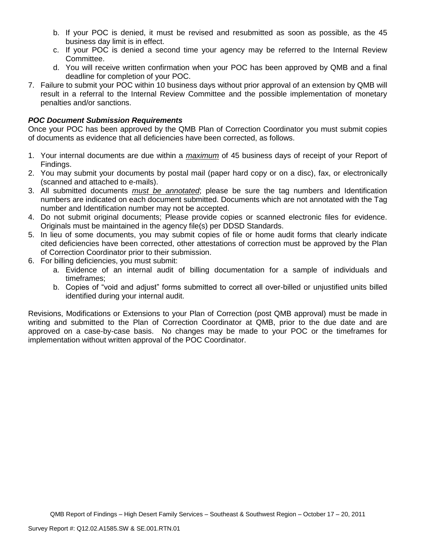- b. If your POC is denied, it must be revised and resubmitted as soon as possible, as the 45 business day limit is in effect.
- c. If your POC is denied a second time your agency may be referred to the Internal Review Committee.
- d. You will receive written confirmation when your POC has been approved by QMB and a final deadline for completion of your POC.
- 7. Failure to submit your POC within 10 business days without prior approval of an extension by QMB will result in a referral to the Internal Review Committee and the possible implementation of monetary penalties and/or sanctions.

### *POC Document Submission Requirements*

Once your POC has been approved by the QMB Plan of Correction Coordinator you must submit copies of documents as evidence that all deficiencies have been corrected, as follows.

- 1. Your internal documents are due within a *maximum* of 45 business days of receipt of your Report of Findings.
- 2. You may submit your documents by postal mail (paper hard copy or on a disc), fax, or electronically (scanned and attached to e-mails).
- 3. All submitted documents *must be annotated*; please be sure the tag numbers and Identification numbers are indicated on each document submitted. Documents which are not annotated with the Tag number and Identification number may not be accepted.
- 4. Do not submit original documents; Please provide copies or scanned electronic files for evidence. Originals must be maintained in the agency file(s) per DDSD Standards.
- 5. In lieu of some documents, you may submit copies of file or home audit forms that clearly indicate cited deficiencies have been corrected, other attestations of correction must be approved by the Plan of Correction Coordinator prior to their submission.
- 6. For billing deficiencies, you must submit:
	- a. Evidence of an internal audit of billing documentation for a sample of individuals and timeframes;
	- b. Copies of "void and adjust" forms submitted to correct all over-billed or unjustified units billed identified during your internal audit.

Revisions, Modifications or Extensions to your Plan of Correction (post QMB approval) must be made in writing and submitted to the Plan of Correction Coordinator at QMB, prior to the due date and are approved on a case-by-case basis. No changes may be made to your POC or the timeframes for implementation without written approval of the POC Coordinator.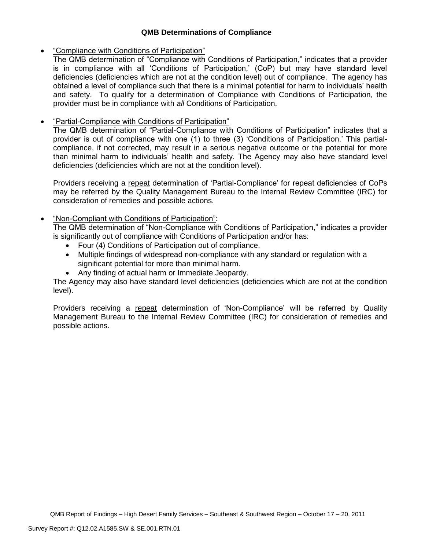# **QMB Determinations of Compliance**

### "Compliance with Conditions of Participation"

The QMB determination of "Compliance with Conditions of Participation," indicates that a provider is in compliance with all 'Conditions of Participation,' (CoP) but may have standard level deficiencies (deficiencies which are not at the condition level) out of compliance. The agency has obtained a level of compliance such that there is a minimal potential for harm to individuals' health and safety. To qualify for a determination of Compliance with Conditions of Participation, the provider must be in compliance with *all* Conditions of Participation.

# "Partial-Compliance with Conditions of Participation"

The QMB determination of "Partial-Compliance with Conditions of Participation" indicates that a provider is out of compliance with one (1) to three (3) 'Conditions of Participation.' This partialcompliance, if not corrected, may result in a serious negative outcome or the potential for more than minimal harm to individuals' health and safety. The Agency may also have standard level deficiencies (deficiencies which are not at the condition level).

Providers receiving a repeat determination of 'Partial-Compliance' for repeat deficiencies of CoPs may be referred by the Quality Management Bureau to the Internal Review Committee (IRC) for consideration of remedies and possible actions.

# "Non-Compliant with Conditions of Participation":

The QMB determination of "Non-Compliance with Conditions of Participation," indicates a provider is significantly out of compliance with Conditions of Participation and/or has:

- Four (4) Conditions of Participation out of compliance.
- Multiple findings of widespread non-compliance with any standard or regulation with a significant potential for more than minimal harm.
- Any finding of actual harm or Immediate Jeopardy.

The Agency may also have standard level deficiencies (deficiencies which are not at the condition level).

Providers receiving a repeat determination of 'Non-Compliance' will be referred by Quality Management Bureau to the Internal Review Committee (IRC) for consideration of remedies and possible actions.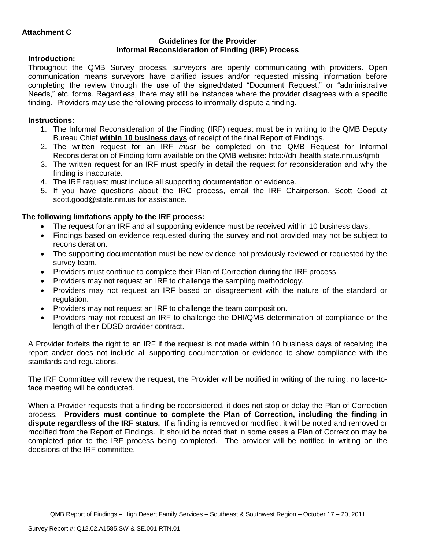### **Guidelines for the Provider Informal Reconsideration of Finding (IRF) Process**

# **Introduction:**

Throughout the QMB Survey process, surveyors are openly communicating with providers. Open communication means surveyors have clarified issues and/or requested missing information before completing the review through the use of the signed/dated "Document Request," or "administrative Needs," etc. forms. Regardless, there may still be instances where the provider disagrees with a specific finding. Providers may use the following process to informally dispute a finding.

# **Instructions:**

- 1. The Informal Reconsideration of the Finding (IRF) request must be in writing to the QMB Deputy Bureau Chief **within 10 business days** of receipt of the final Report of Findings.
- 2. The written request for an IRF *must* be completed on the QMB Request for Informal Reconsideration of Finding form available on the QMB website:<http://dhi.health.state.nm.us/qmb>
- 3. The written request for an IRF must specify in detail the request for reconsideration and why the finding is inaccurate.
- 4. The IRF request must include all supporting documentation or evidence.
- 5. If you have questions about the IRC process, email the IRF Chairperson, Scott Good at [scott.good@state.nm.us](mailto:scott.good@state.nm.us) for assistance.

# **The following limitations apply to the IRF process:**

- The request for an IRF and all supporting evidence must be received within 10 business days.
- Findings based on evidence requested during the survey and not provided may not be subject to reconsideration.
- The supporting documentation must be new evidence not previously reviewed or requested by the survey team.
- Providers must continue to complete their Plan of Correction during the IRF process
- Providers may not request an IRF to challenge the sampling methodology.
- Providers may not request an IRF based on disagreement with the nature of the standard or regulation.
- Providers may not request an IRF to challenge the team composition.
- Providers may not request an IRF to challenge the DHI/QMB determination of compliance or the length of their DDSD provider contract.

A Provider forfeits the right to an IRF if the request is not made within 10 business days of receiving the report and/or does not include all supporting documentation or evidence to show compliance with the standards and regulations.

The IRF Committee will review the request, the Provider will be notified in writing of the ruling; no face-toface meeting will be conducted.

When a Provider requests that a finding be reconsidered, it does not stop or delay the Plan of Correction process. **Providers must continue to complete the Plan of Correction, including the finding in dispute regardless of the IRF status.** If a finding is removed or modified, it will be noted and removed or modified from the Report of Findings. It should be noted that in some cases a Plan of Correction may be completed prior to the IRF process being completed. The provider will be notified in writing on the decisions of the IRF committee.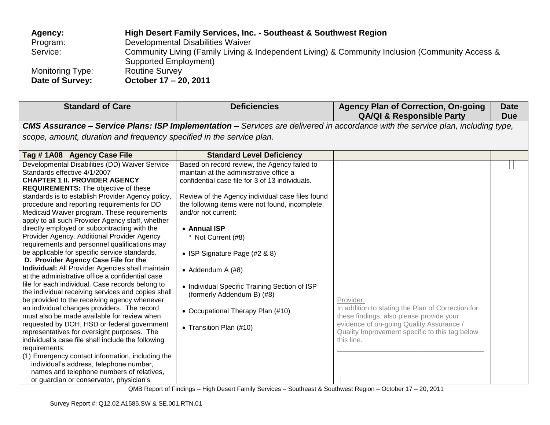| Agency:                 | High Desert Family Services, Inc. - Southeast & Southwest Region                                |
|-------------------------|-------------------------------------------------------------------------------------------------|
| Program:                | Developmental Disabilities Waiver                                                               |
| Service:                | Community Living (Family Living & Independent Living) & Community Inclusion (Community Access & |
|                         | Supported Employment)                                                                           |
| <b>Monitoring Type:</b> | <b>Routine Survey</b>                                                                           |
| Date of Survey:         | October 17 - 20, 2011                                                                           |

| <b>Standard of Care</b>                                                                                                                                                                                                                                                                                                                                                                                                                                                                                                                                                                                                                                                                                                                                                                                                                                                                                                                                                                                                                                                                                                                                                                                                                                                                                | <b>Deficiencies</b>                                                                                                                                                                                                                                                                                                                                                                                                                                                                                                              | <b>Agency Plan of Correction, On-going</b><br><b>QA/QI &amp; Responsible Party</b>                                                                                                                                     | <b>Date</b><br><b>Due</b> |
|--------------------------------------------------------------------------------------------------------------------------------------------------------------------------------------------------------------------------------------------------------------------------------------------------------------------------------------------------------------------------------------------------------------------------------------------------------------------------------------------------------------------------------------------------------------------------------------------------------------------------------------------------------------------------------------------------------------------------------------------------------------------------------------------------------------------------------------------------------------------------------------------------------------------------------------------------------------------------------------------------------------------------------------------------------------------------------------------------------------------------------------------------------------------------------------------------------------------------------------------------------------------------------------------------------|----------------------------------------------------------------------------------------------------------------------------------------------------------------------------------------------------------------------------------------------------------------------------------------------------------------------------------------------------------------------------------------------------------------------------------------------------------------------------------------------------------------------------------|------------------------------------------------------------------------------------------------------------------------------------------------------------------------------------------------------------------------|---------------------------|
|                                                                                                                                                                                                                                                                                                                                                                                                                                                                                                                                                                                                                                                                                                                                                                                                                                                                                                                                                                                                                                                                                                                                                                                                                                                                                                        |                                                                                                                                                                                                                                                                                                                                                                                                                                                                                                                                  | <b>CMS Assurance - Service Plans: ISP Implementation -</b> Services are delivered in accordance with the service plan, including type,                                                                                 |                           |
| scope, amount, duration and frequency specified in the service plan.                                                                                                                                                                                                                                                                                                                                                                                                                                                                                                                                                                                                                                                                                                                                                                                                                                                                                                                                                                                                                                                                                                                                                                                                                                   |                                                                                                                                                                                                                                                                                                                                                                                                                                                                                                                                  |                                                                                                                                                                                                                        |                           |
|                                                                                                                                                                                                                                                                                                                                                                                                                                                                                                                                                                                                                                                                                                                                                                                                                                                                                                                                                                                                                                                                                                                                                                                                                                                                                                        |                                                                                                                                                                                                                                                                                                                                                                                                                                                                                                                                  |                                                                                                                                                                                                                        |                           |
| Tag #1A08 Agency Case File                                                                                                                                                                                                                                                                                                                                                                                                                                                                                                                                                                                                                                                                                                                                                                                                                                                                                                                                                                                                                                                                                                                                                                                                                                                                             | <b>Standard Level Deficiency</b>                                                                                                                                                                                                                                                                                                                                                                                                                                                                                                 |                                                                                                                                                                                                                        |                           |
| Developmental Disabilities (DD) Waiver Service<br>Standards effective 4/1/2007<br><b>CHAPTER 1 II. PROVIDER AGENCY</b><br><b>REQUIREMENTS:</b> The objective of these<br>standards is to establish Provider Agency policy,<br>procedure and reporting requirements for DD<br>Medicaid Waiver program. These requirements<br>apply to all such Provider Agency staff, whether<br>directly employed or subcontracting with the<br>Provider Agency. Additional Provider Agency<br>requirements and personnel qualifications may<br>be applicable for specific service standards.<br>D. Provider Agency Case File for the<br>Individual: All Provider Agencies shall maintain<br>at the administrative office a confidential case<br>file for each individual. Case records belong to<br>the individual receiving services and copies shall<br>be provided to the receiving agency whenever<br>an individual changes providers. The record<br>must also be made available for review when<br>requested by DOH, HSD or federal government<br>representatives for oversight purposes. The<br>individual's case file shall include the following<br>requirements:<br>(1) Emergency contact information, including the<br>individual's address, telephone number,<br>names and telephone numbers of relatives, | Based on record review, the Agency failed to<br>maintain at the administrative office a<br>confidential case file for 3 of 13 individuals.<br>Review of the Agency individual case files found<br>the following items were not found, incomplete,<br>and/or not current:<br>• Annual ISP<br><sup>o</sup> Not Current (#8)<br>• ISP Signature Page (#2 & 8)<br>• Addendum A $(H8)$<br>• Individual Specific Training Section of ISP<br>(formerly Addendum B) (#8)<br>• Occupational Therapy Plan (#10)<br>• Transition Plan (#10) | Provider:<br>In addition to stating the Plan of Correction for<br>these findings, also please provide your<br>evidence of on-going Quality Assurance /<br>Quality Improvement specific to this tag below<br>this line. |                           |
| or guardian or conservator, physician's                                                                                                                                                                                                                                                                                                                                                                                                                                                                                                                                                                                                                                                                                                                                                                                                                                                                                                                                                                                                                                                                                                                                                                                                                                                                |                                                                                                                                                                                                                                                                                                                                                                                                                                                                                                                                  |                                                                                                                                                                                                                        |                           |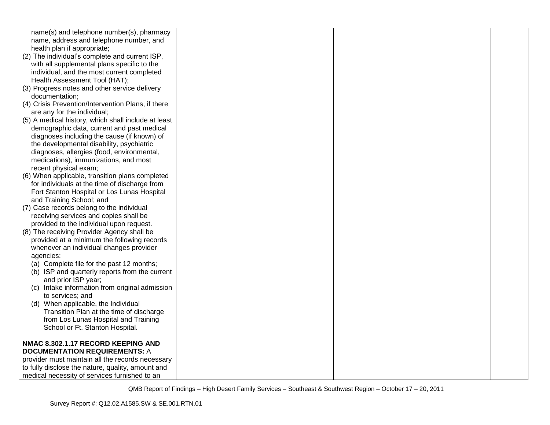| name(s) and telephone number(s), pharmacy           |  |  |
|-----------------------------------------------------|--|--|
| name, address and telephone number, and             |  |  |
| health plan if appropriate;                         |  |  |
| (2) The individual's complete and current ISP,      |  |  |
| with all supplemental plans specific to the         |  |  |
| individual, and the most current completed          |  |  |
| Health Assessment Tool (HAT);                       |  |  |
| (3) Progress notes and other service delivery       |  |  |
| documentation;                                      |  |  |
| (4) Crisis Prevention/Intervention Plans, if there  |  |  |
| are any for the individual;                         |  |  |
| (5) A medical history, which shall include at least |  |  |
| demographic data, current and past medical          |  |  |
| diagnoses including the cause (if known) of         |  |  |
| the developmental disability, psychiatric           |  |  |
| diagnoses, allergies (food, environmental,          |  |  |
| medications), immunizations, and most               |  |  |
| recent physical exam;                               |  |  |
| (6) When applicable, transition plans completed     |  |  |
| for individuals at the time of discharge from       |  |  |
| Fort Stanton Hospital or Los Lunas Hospital         |  |  |
| and Training School; and                            |  |  |
| (7) Case records belong to the individual           |  |  |
| receiving services and copies shall be              |  |  |
| provided to the individual upon request.            |  |  |
| (8) The receiving Provider Agency shall be          |  |  |
| provided at a minimum the following records         |  |  |
| whenever an individual changes provider             |  |  |
| agencies:                                           |  |  |
| (a) Complete file for the past 12 months;           |  |  |
| (b) ISP and quarterly reports from the current      |  |  |
| and prior ISP year;                                 |  |  |
| (c) Intake information from original admission      |  |  |
| to services; and                                    |  |  |
| (d) When applicable, the Individual                 |  |  |
| Transition Plan at the time of discharge            |  |  |
| from Los Lunas Hospital and Training                |  |  |
| School or Ft. Stanton Hospital.                     |  |  |
|                                                     |  |  |
| NMAC 8.302.1.17 RECORD KEEPING AND                  |  |  |
| <b>DOCUMENTATION REQUIREMENTS: A</b>                |  |  |
| provider must maintain all the records necessary    |  |  |
| to fully disclose the nature, quality, amount and   |  |  |
| medical necessity of services furnished to an       |  |  |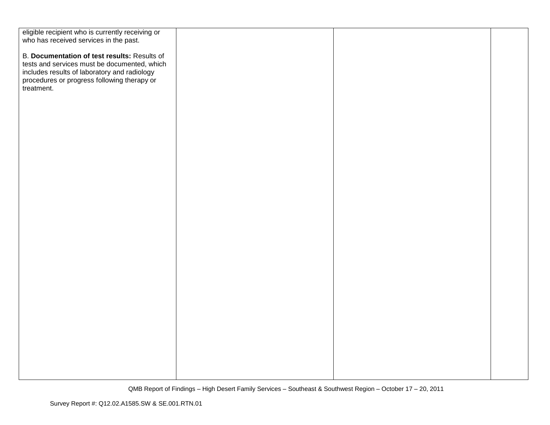| eligible recipient who is currently receiving or |  |  |
|--------------------------------------------------|--|--|
| who has received services in the past.           |  |  |
|                                                  |  |  |
| B. Documentation of test results: Results of     |  |  |
| tests and services must be documented, which     |  |  |
| includes results of laboratory and radiology     |  |  |
| procedures or progress following therapy or      |  |  |
| treatment.                                       |  |  |
|                                                  |  |  |
|                                                  |  |  |
|                                                  |  |  |
|                                                  |  |  |
|                                                  |  |  |
|                                                  |  |  |
|                                                  |  |  |
|                                                  |  |  |
|                                                  |  |  |
|                                                  |  |  |
|                                                  |  |  |
|                                                  |  |  |
|                                                  |  |  |
|                                                  |  |  |
|                                                  |  |  |
|                                                  |  |  |
|                                                  |  |  |
|                                                  |  |  |
|                                                  |  |  |
|                                                  |  |  |
|                                                  |  |  |
|                                                  |  |  |
|                                                  |  |  |
|                                                  |  |  |
|                                                  |  |  |
|                                                  |  |  |
|                                                  |  |  |
|                                                  |  |  |
|                                                  |  |  |
|                                                  |  |  |
|                                                  |  |  |
|                                                  |  |  |
|                                                  |  |  |
|                                                  |  |  |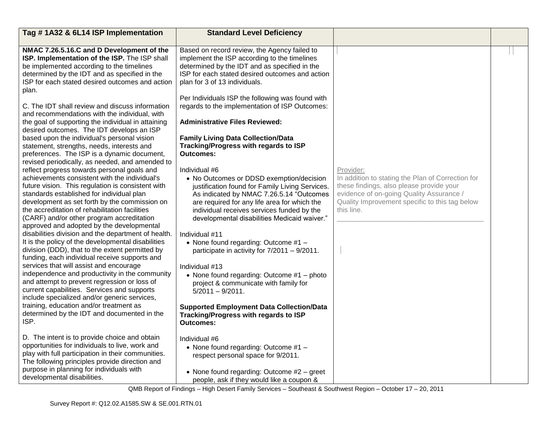| Tag #1A32 & 6L14 ISP Implementation                                                                                                                                                                                                                                                                                                                                                                                                                                                                                                                                                                                                                                                                                                                                                                                                                                                                                                                                                                           | <b>Standard Level Deficiency</b>                                                                                                                                                                                                                                                                                                                                                                                                                                                                                                                                                                                                                                       |                                                                                                                                                                                                                        |  |
|---------------------------------------------------------------------------------------------------------------------------------------------------------------------------------------------------------------------------------------------------------------------------------------------------------------------------------------------------------------------------------------------------------------------------------------------------------------------------------------------------------------------------------------------------------------------------------------------------------------------------------------------------------------------------------------------------------------------------------------------------------------------------------------------------------------------------------------------------------------------------------------------------------------------------------------------------------------------------------------------------------------|------------------------------------------------------------------------------------------------------------------------------------------------------------------------------------------------------------------------------------------------------------------------------------------------------------------------------------------------------------------------------------------------------------------------------------------------------------------------------------------------------------------------------------------------------------------------------------------------------------------------------------------------------------------------|------------------------------------------------------------------------------------------------------------------------------------------------------------------------------------------------------------------------|--|
| NMAC 7.26.5.16.C and D Development of the<br>ISP. Implementation of the ISP. The ISP shall<br>be implemented according to the timelines<br>determined by the IDT and as specified in the<br>ISP for each stated desired outcomes and action<br>plan.                                                                                                                                                                                                                                                                                                                                                                                                                                                                                                                                                                                                                                                                                                                                                          | Based on record review, the Agency failed to<br>implement the ISP according to the timelines<br>determined by the IDT and as specified in the<br>ISP for each stated desired outcomes and action<br>plan for 3 of 13 individuals.<br>Per Individuals ISP the following was found with                                                                                                                                                                                                                                                                                                                                                                                  |                                                                                                                                                                                                                        |  |
| C. The IDT shall review and discuss information<br>and recommendations with the individual, with<br>the goal of supporting the individual in attaining                                                                                                                                                                                                                                                                                                                                                                                                                                                                                                                                                                                                                                                                                                                                                                                                                                                        | regards to the implementation of ISP Outcomes:<br><b>Administrative Files Reviewed:</b>                                                                                                                                                                                                                                                                                                                                                                                                                                                                                                                                                                                |                                                                                                                                                                                                                        |  |
| desired outcomes. The IDT develops an ISP<br>based upon the individual's personal vision<br>statement, strengths, needs, interests and<br>preferences. The ISP is a dynamic document,                                                                                                                                                                                                                                                                                                                                                                                                                                                                                                                                                                                                                                                                                                                                                                                                                         | <b>Family Living Data Collection/Data</b><br>Tracking/Progress with regards to ISP<br><b>Outcomes:</b>                                                                                                                                                                                                                                                                                                                                                                                                                                                                                                                                                                 |                                                                                                                                                                                                                        |  |
| revised periodically, as needed, and amended to<br>reflect progress towards personal goals and<br>achievements consistent with the individual's<br>future vision. This regulation is consistent with<br>standards established for individual plan<br>development as set forth by the commission on<br>the accreditation of rehabilitation facilities<br>(CARF) and/or other program accreditation<br>approved and adopted by the developmental<br>disabilities division and the department of health.<br>It is the policy of the developmental disabilities<br>division (DDD), that to the extent permitted by<br>funding, each individual receive supports and<br>services that will assist and encourage<br>independence and productivity in the community<br>and attempt to prevent regression or loss of<br>current capabilities. Services and supports<br>include specialized and/or generic services,<br>training, education and/or treatment as<br>determined by the IDT and documented in the<br>ISP. | Individual #6<br>• No Outcomes or DDSD exemption/decision<br>justification found for Family Living Services.<br>As indicated by NMAC 7.26.5.14 "Outcomes<br>are required for any life area for which the<br>individual receives services funded by the<br>developmental disabilities Medicaid waiver."<br>Individual #11<br>• None found regarding: Outcome $#1 -$<br>participate in activity for $7/2011 - 9/2011$ .<br>Individual #13<br>• None found regarding: Outcome #1 - photo<br>project & communicate with family for<br>$5/2011 - 9/2011$ .<br><b>Supported Employment Data Collection/Data</b><br>Tracking/Progress with regards to ISP<br><b>Outcomes:</b> | Provider:<br>In addition to stating the Plan of Correction for<br>these findings, also please provide your<br>evidence of on-going Quality Assurance /<br>Quality Improvement specific to this tag below<br>this line. |  |
| D. The intent is to provide choice and obtain<br>opportunities for individuals to live, work and<br>play with full participation in their communities.<br>The following principles provide direction and<br>purpose in planning for individuals with<br>developmental disabilities.                                                                                                                                                                                                                                                                                                                                                                                                                                                                                                                                                                                                                                                                                                                           | Individual #6<br>• None found regarding: Outcome #1 -<br>respect personal space for 9/2011.<br>• None found regarding: Outcome #2 - greet<br>people, ask if they would like a coupon &                                                                                                                                                                                                                                                                                                                                                                                                                                                                                 |                                                                                                                                                                                                                        |  |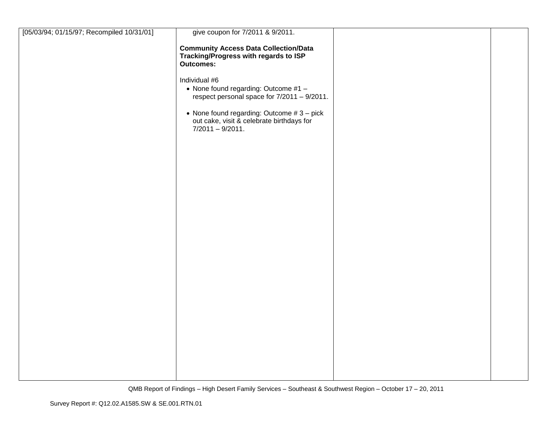| [05/03/94; 01/15/97; Recompiled 10/31/01] | give coupon for 7/2011 & 9/2011.                                                                                |  |
|-------------------------------------------|-----------------------------------------------------------------------------------------------------------------|--|
|                                           | <b>Community Access Data Collection/Data</b><br>Tracking/Progress with regards to ISP<br>Outcomes:              |  |
|                                           | Individual #6<br>• None found regarding: Outcome #1 -<br>respect personal space for 7/2011 - 9/2011.            |  |
|                                           | • None found regarding: Outcome $#3 - pick$<br>out cake, visit & celebrate birthdays for<br>$7/2011 - 9/2011$ . |  |
|                                           |                                                                                                                 |  |
|                                           |                                                                                                                 |  |
|                                           |                                                                                                                 |  |
|                                           |                                                                                                                 |  |
|                                           |                                                                                                                 |  |
|                                           |                                                                                                                 |  |
|                                           |                                                                                                                 |  |
|                                           |                                                                                                                 |  |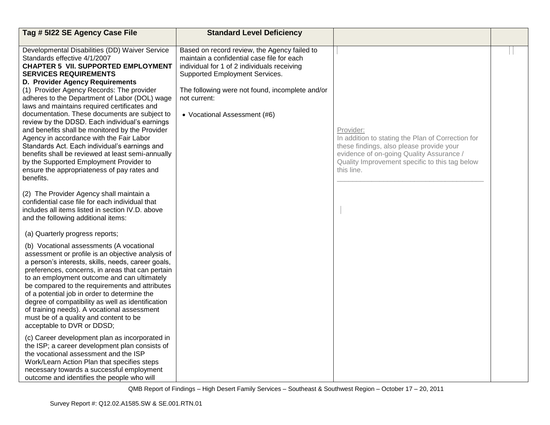| Tag # 5122 SE Agency Case File                                                                                                                                                                                                                                                                                                                                                                                                                                                                                                                                                                                                                                                                                                                               | <b>Standard Level Deficiency</b>                                                                                                                                                                                                                                               |                                                                                                                                                                                                                        |  |
|--------------------------------------------------------------------------------------------------------------------------------------------------------------------------------------------------------------------------------------------------------------------------------------------------------------------------------------------------------------------------------------------------------------------------------------------------------------------------------------------------------------------------------------------------------------------------------------------------------------------------------------------------------------------------------------------------------------------------------------------------------------|--------------------------------------------------------------------------------------------------------------------------------------------------------------------------------------------------------------------------------------------------------------------------------|------------------------------------------------------------------------------------------------------------------------------------------------------------------------------------------------------------------------|--|
| Developmental Disabilities (DD) Waiver Service<br>Standards effective 4/1/2007<br><b>CHAPTER 5 VII. SUPPORTED EMPLOYMENT</b><br><b>SERVICES REQUIREMENTS</b><br>D. Provider Agency Requirements<br>(1) Provider Agency Records: The provider<br>adheres to the Department of Labor (DOL) wage<br>laws and maintains required certificates and<br>documentation. These documents are subject to<br>review by the DDSD. Each individual's earnings<br>and benefits shall be monitored by the Provider<br>Agency in accordance with the Fair Labor<br>Standards Act. Each individual's earnings and<br>benefits shall be reviewed at least semi-annually<br>by the Supported Employment Provider to<br>ensure the appropriateness of pay rates and<br>benefits. | Based on record review, the Agency failed to<br>maintain a confidential case file for each<br>individual for 1 of 2 individuals receiving<br>Supported Employment Services.<br>The following were not found, incomplete and/or<br>not current:<br>• Vocational Assessment (#6) | Provider:<br>In addition to stating the Plan of Correction for<br>these findings, also please provide your<br>evidence of on-going Quality Assurance /<br>Quality Improvement specific to this tag below<br>this line. |  |
| (2) The Provider Agency shall maintain a<br>confidential case file for each individual that<br>includes all items listed in section IV.D. above<br>and the following additional items:                                                                                                                                                                                                                                                                                                                                                                                                                                                                                                                                                                       |                                                                                                                                                                                                                                                                                |                                                                                                                                                                                                                        |  |
| (a) Quarterly progress reports;<br>(b) Vocational assessments (A vocational<br>assessment or profile is an objective analysis of<br>a person's interests, skills, needs, career goals,<br>preferences, concerns, in areas that can pertain<br>to an employment outcome and can ultimately<br>be compared to the requirements and attributes<br>of a potential job in order to determine the<br>degree of compatibility as well as identification<br>of training needs). A vocational assessment<br>must be of a quality and content to be<br>acceptable to DVR or DDSD;                                                                                                                                                                                      |                                                                                                                                                                                                                                                                                |                                                                                                                                                                                                                        |  |
| (c) Career development plan as incorporated in<br>the ISP; a career development plan consists of<br>the vocational assessment and the ISP<br>Work/Learn Action Plan that specifies steps<br>necessary towards a successful employment<br>outcome and identifies the people who will                                                                                                                                                                                                                                                                                                                                                                                                                                                                          |                                                                                                                                                                                                                                                                                |                                                                                                                                                                                                                        |  |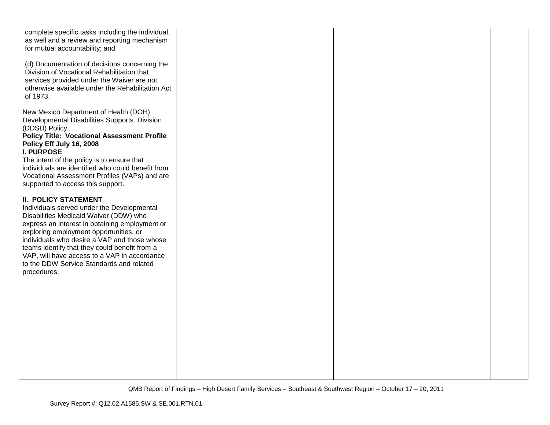| complete specific tasks including the individual,<br>as well and a review and reporting mechanism<br>for mutual accountability; and<br>(d) Documentation of decisions concerning the<br>Division of Vocational Rehabilitation that<br>services provided under the Waiver are not<br>otherwise available under the Rehabilitation Act<br>of 1973.                                                                            |  |  |
|-----------------------------------------------------------------------------------------------------------------------------------------------------------------------------------------------------------------------------------------------------------------------------------------------------------------------------------------------------------------------------------------------------------------------------|--|--|
| New Mexico Department of Health (DOH)<br>Developmental Disabilities Supports Division<br>(DDSD) Policy<br><b>Policy Title: Vocational Assessment Profile</b><br>Policy Eff July 16, 2008<br><b>I. PURPOSE</b><br>The intent of the policy is to ensure that<br>individuals are identified who could benefit from<br>Vocational Assessment Profiles (VAPs) and are<br>supported to access this support.                      |  |  |
| <b>II. POLICY STATEMENT</b><br>Individuals served under the Developmental<br>Disabilities Medicaid Waiver (DDW) who<br>express an interest in obtaining employment or<br>exploring employment opportunities, or<br>individuals who desire a VAP and those whose<br>teams identify that they could benefit from a<br>VAP, will have access to a VAP in accordance<br>to the DDW Service Standards and related<br>procedures. |  |  |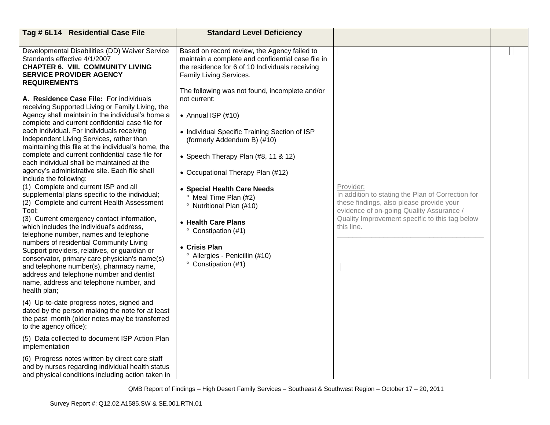| Tag # 6L14 Residential Case File                                                                                                                                                                                                                                                                                                                                                                                                                                                                                                                                                                                                                                                                                                                                                                                                                                                                                                                                                                                                                                                                                                                                                                                                                                                                                                                                   | <b>Standard Level Deficiency</b>                                                                                                                                                                                                                                                                                                                                                                                                               |                                                                                                                                                                                                                        |  |
|--------------------------------------------------------------------------------------------------------------------------------------------------------------------------------------------------------------------------------------------------------------------------------------------------------------------------------------------------------------------------------------------------------------------------------------------------------------------------------------------------------------------------------------------------------------------------------------------------------------------------------------------------------------------------------------------------------------------------------------------------------------------------------------------------------------------------------------------------------------------------------------------------------------------------------------------------------------------------------------------------------------------------------------------------------------------------------------------------------------------------------------------------------------------------------------------------------------------------------------------------------------------------------------------------------------------------------------------------------------------|------------------------------------------------------------------------------------------------------------------------------------------------------------------------------------------------------------------------------------------------------------------------------------------------------------------------------------------------------------------------------------------------------------------------------------------------|------------------------------------------------------------------------------------------------------------------------------------------------------------------------------------------------------------------------|--|
| Developmental Disabilities (DD) Waiver Service<br>Standards effective 4/1/2007<br><b>CHAPTER 6. VIII. COMMUNITY LIVING</b><br><b>SERVICE PROVIDER AGENCY</b><br><b>REQUIREMENTS</b>                                                                                                                                                                                                                                                                                                                                                                                                                                                                                                                                                                                                                                                                                                                                                                                                                                                                                                                                                                                                                                                                                                                                                                                | Based on record review, the Agency failed to<br>maintain a complete and confidential case file in<br>the residence for 6 of 10 Individuals receiving<br>Family Living Services.<br>The following was not found, incomplete and/or                                                                                                                                                                                                              |                                                                                                                                                                                                                        |  |
| A. Residence Case File: For individuals<br>receiving Supported Living or Family Living, the<br>Agency shall maintain in the individual's home a<br>complete and current confidential case file for<br>each individual. For individuals receiving<br>Independent Living Services, rather than<br>maintaining this file at the individual's home, the<br>complete and current confidential case file for<br>each individual shall be maintained at the<br>agency's administrative site. Each file shall<br>include the following:<br>(1) Complete and current ISP and all<br>supplemental plans specific to the individual;<br>(2) Complete and current Health Assessment<br>Tool;<br>(3) Current emergency contact information,<br>which includes the individual's address,<br>telephone number, names and telephone<br>numbers of residential Community Living<br>Support providers, relatives, or guardian or<br>conservator, primary care physician's name(s)<br>and telephone number(s), pharmacy name,<br>address and telephone number and dentist<br>name, address and telephone number, and<br>health plan;<br>(4) Up-to-date progress notes, signed and<br>dated by the person making the note for at least<br>the past month (older notes may be transferred<br>to the agency office);<br>(5) Data collected to document ISP Action Plan<br>implementation | not current:<br>• Annual ISP $(\#10)$<br>• Individual Specific Training Section of ISP<br>(formerly Addendum B) (#10)<br>• Speech Therapy Plan (#8, 11 & 12)<br>• Occupational Therapy Plan (#12)<br>• Special Health Care Needs<br><sup>o</sup> Meal Time Plan (#2)<br><sup>o</sup> Nutritional Plan (#10)<br>• Health Care Plans<br>° Constipation (#1)<br>• Crisis Plan<br><sup>o</sup> Allergies - Penicillin (#10)<br>° Constipation (#1) | Provider:<br>In addition to stating the Plan of Correction for<br>these findings, also please provide your<br>evidence of on-going Quality Assurance /<br>Quality Improvement specific to this tag below<br>this line. |  |
| (6) Progress notes written by direct care staff<br>and by nurses regarding individual health status<br>and physical conditions including action taken in                                                                                                                                                                                                                                                                                                                                                                                                                                                                                                                                                                                                                                                                                                                                                                                                                                                                                                                                                                                                                                                                                                                                                                                                           |                                                                                                                                                                                                                                                                                                                                                                                                                                                |                                                                                                                                                                                                                        |  |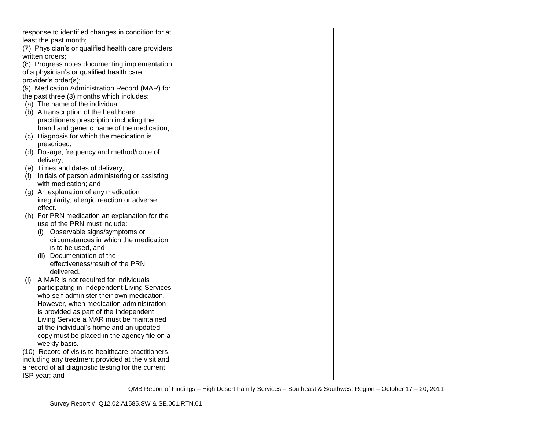| response to identified changes in condition for at   |  |  |
|------------------------------------------------------|--|--|
| least the past month;                                |  |  |
| (7) Physician's or qualified health care providers   |  |  |
| written orders;                                      |  |  |
| (8) Progress notes documenting implementation        |  |  |
| of a physician's or qualified health care            |  |  |
| provider's order(s);                                 |  |  |
| (9) Medication Administration Record (MAR) for       |  |  |
| the past three (3) months which includes:            |  |  |
| (a) The name of the individual;                      |  |  |
| (b) A transcription of the healthcare                |  |  |
| practitioners prescription including the             |  |  |
| brand and generic name of the medication;            |  |  |
| (c) Diagnosis for which the medication is            |  |  |
| prescribed;                                          |  |  |
| (d) Dosage, frequency and method/route of            |  |  |
| delivery;                                            |  |  |
| (e) Times and dates of delivery;                     |  |  |
| (f)<br>Initials of person administering or assisting |  |  |
| with medication; and                                 |  |  |
| (g) An explanation of any medication                 |  |  |
| irregularity, allergic reaction or adverse           |  |  |
| effect.                                              |  |  |
| (h) For PRN medication an explanation for the        |  |  |
| use of the PRN must include:                         |  |  |
| Observable signs/symptoms or<br>(i)                  |  |  |
| circumstances in which the medication                |  |  |
| is to be used, and                                   |  |  |
| (ii) Documentation of the                            |  |  |
| effectiveness/result of the PRN                      |  |  |
| delivered.                                           |  |  |
| A MAR is not required for individuals<br>(i)         |  |  |
| participating in Independent Living Services         |  |  |
| who self-administer their own medication.            |  |  |
| However, when medication administration              |  |  |
| is provided as part of the Independent               |  |  |
| Living Service a MAR must be maintained              |  |  |
| at the individual's home and an updated              |  |  |
| copy must be placed in the agency file on a          |  |  |
| weekly basis.                                        |  |  |
| (10) Record of visits to healthcare practitioners    |  |  |
| including any treatment provided at the visit and    |  |  |
| a record of all diagnostic testing for the current   |  |  |
| ISP year; and                                        |  |  |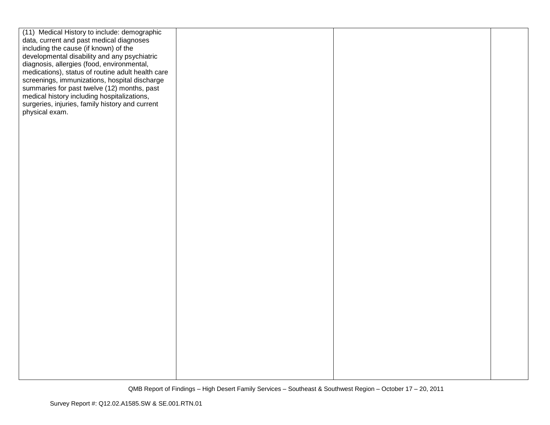| (11) Medical History to include: demographic      |  |  |
|---------------------------------------------------|--|--|
| data, current and past medical diagnoses          |  |  |
| including the cause (if known) of the             |  |  |
| developmental disability and any psychiatric      |  |  |
| diagnosis, allergies (food, environmental,        |  |  |
| medications), status of routine adult health care |  |  |
| screenings, immunizations, hospital discharge     |  |  |
| summaries for past twelve (12) months, past       |  |  |
| medical history including hospitalizations,       |  |  |
| surgeries, injuries, family history and current   |  |  |
| physical exam.                                    |  |  |
|                                                   |  |  |
|                                                   |  |  |
|                                                   |  |  |
|                                                   |  |  |
|                                                   |  |  |
|                                                   |  |  |
|                                                   |  |  |
|                                                   |  |  |
|                                                   |  |  |
|                                                   |  |  |
|                                                   |  |  |
|                                                   |  |  |
|                                                   |  |  |
|                                                   |  |  |
|                                                   |  |  |
|                                                   |  |  |
|                                                   |  |  |
|                                                   |  |  |
|                                                   |  |  |
|                                                   |  |  |
|                                                   |  |  |
|                                                   |  |  |
|                                                   |  |  |
|                                                   |  |  |
|                                                   |  |  |
|                                                   |  |  |
|                                                   |  |  |
|                                                   |  |  |
|                                                   |  |  |
|                                                   |  |  |
|                                                   |  |  |
|                                                   |  |  |
|                                                   |  |  |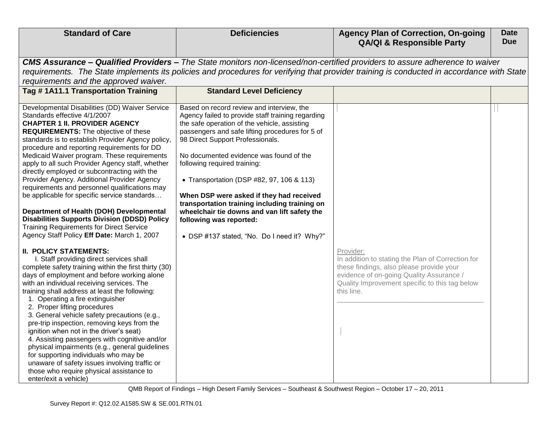| <b>Standard of Care</b>                                                                                                                                                                                                                                                                                                                                                                                                                                                                                                                                                                                                                                                                                                                                                           | <b>Deficiencies</b>                                                                                                                                                                                                                                                                                                                                                                                                                                                                                                                                                                  | <b>Agency Plan of Correction, On-going</b><br><b>QA/QI &amp; Responsible Party</b>                                                                                                                                                                                              | <b>Date</b><br><b>Due</b> |
|-----------------------------------------------------------------------------------------------------------------------------------------------------------------------------------------------------------------------------------------------------------------------------------------------------------------------------------------------------------------------------------------------------------------------------------------------------------------------------------------------------------------------------------------------------------------------------------------------------------------------------------------------------------------------------------------------------------------------------------------------------------------------------------|--------------------------------------------------------------------------------------------------------------------------------------------------------------------------------------------------------------------------------------------------------------------------------------------------------------------------------------------------------------------------------------------------------------------------------------------------------------------------------------------------------------------------------------------------------------------------------------|---------------------------------------------------------------------------------------------------------------------------------------------------------------------------------------------------------------------------------------------------------------------------------|---------------------------|
| requirements and the approved waiver.<br>Tag #1A11.1 Transportation Training                                                                                                                                                                                                                                                                                                                                                                                                                                                                                                                                                                                                                                                                                                      |                                                                                                                                                                                                                                                                                                                                                                                                                                                                                                                                                                                      | <b>CMS Assurance – Qualified Providers –</b> The State monitors non-licensed/non-certified providers to assure adherence to waiver<br>requirements. The State implements its policies and procedures for verifying that provider training is conducted in accordance with State |                           |
|                                                                                                                                                                                                                                                                                                                                                                                                                                                                                                                                                                                                                                                                                                                                                                                   | <b>Standard Level Deficiency</b>                                                                                                                                                                                                                                                                                                                                                                                                                                                                                                                                                     |                                                                                                                                                                                                                                                                                 |                           |
| Developmental Disabilities (DD) Waiver Service<br>Standards effective 4/1/2007<br><b>CHAPTER 1 II. PROVIDER AGENCY</b><br><b>REQUIREMENTS:</b> The objective of these<br>standards is to establish Provider Agency policy,<br>procedure and reporting requirements for DD<br>Medicaid Waiver program. These requirements<br>apply to all such Provider Agency staff, whether<br>directly employed or subcontracting with the<br>Provider Agency. Additional Provider Agency<br>requirements and personnel qualifications may<br>be applicable for specific service standards<br>Department of Health (DOH) Developmental<br><b>Disabilities Supports Division (DDSD) Policy</b><br><b>Training Requirements for Direct Service</b><br>Agency Staff Policy Eff Date: March 1, 2007 | Based on record review and interview, the<br>Agency failed to provide staff training regarding<br>the safe operation of the vehicle, assisting<br>passengers and safe lifting procedures for 5 of<br>98 Direct Support Professionals.<br>No documented evidence was found of the<br>following required training:<br>• Transportation (DSP #82, 97, 106 & 113)<br>When DSP were asked if they had received<br>transportation training including training on<br>wheelchair tie downs and van lift safety the<br>following was reported:<br>• DSP #137 stated, "No. Do I need it? Why?" |                                                                                                                                                                                                                                                                                 |                           |
| <b>II. POLICY STATEMENTS:</b><br>I. Staff providing direct services shall<br>complete safety training within the first thirty (30)<br>days of employment and before working alone<br>with an individual receiving services. The<br>training shall address at least the following:<br>1. Operating a fire extinguisher<br>2. Proper lifting procedures<br>3. General vehicle safety precautions (e.g.,<br>pre-trip inspection, removing keys from the<br>ignition when not in the driver's seat)<br>4. Assisting passengers with cognitive and/or<br>physical impairments (e.g., general guidelines<br>for supporting individuals who may be<br>unaware of safety issues involving traffic or<br>those who require physical assistance to<br>enter/exit a vehicle)                 |                                                                                                                                                                                                                                                                                                                                                                                                                                                                                                                                                                                      | Provider:<br>In addition to stating the Plan of Correction for<br>these findings, also please provide your<br>evidence of on-going Quality Assurance /<br>Quality Improvement specific to this tag below<br>this line.                                                          |                           |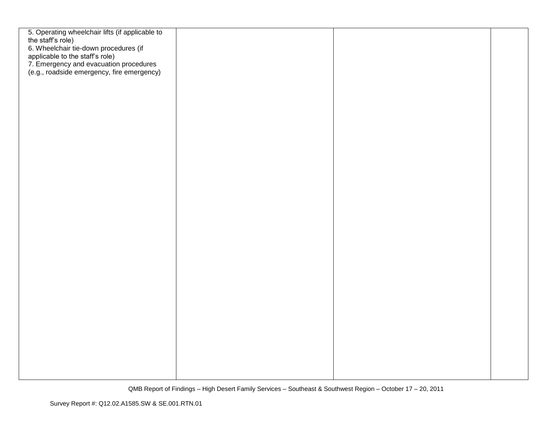| 5. Operating wheelchair lifts (if applicable to<br>the staff's role)<br>6. Wheelchair tie-down procedures (if<br>applicable to the staff's role)<br>7. Emergency and evacuation procedures<br>(e.g., roadside emergency, fire emergency) |  |  |
|------------------------------------------------------------------------------------------------------------------------------------------------------------------------------------------------------------------------------------------|--|--|
|                                                                                                                                                                                                                                          |  |  |
|                                                                                                                                                                                                                                          |  |  |
|                                                                                                                                                                                                                                          |  |  |
|                                                                                                                                                                                                                                          |  |  |
|                                                                                                                                                                                                                                          |  |  |
|                                                                                                                                                                                                                                          |  |  |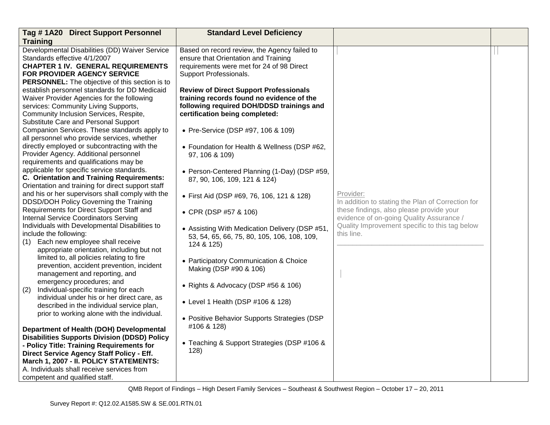| Tag #1A20 Direct Support Personnel                                                     | <b>Standard Level Deficiency</b>               |                                                   |  |
|----------------------------------------------------------------------------------------|------------------------------------------------|---------------------------------------------------|--|
| <b>Training</b>                                                                        |                                                |                                                   |  |
| Developmental Disabilities (DD) Waiver Service                                         | Based on record review, the Agency failed to   |                                                   |  |
| Standards effective 4/1/2007                                                           | ensure that Orientation and Training           |                                                   |  |
| <b>CHAPTER 1 IV. GENERAL REQUIREMENTS</b>                                              | requirements were met for 24 of 98 Direct      |                                                   |  |
| FOR PROVIDER AGENCY SERVICE                                                            | Support Professionals.                         |                                                   |  |
| <b>PERSONNEL:</b> The objective of this section is to                                  |                                                |                                                   |  |
| establish personnel standards for DD Medicaid                                          | <b>Review of Direct Support Professionals</b>  |                                                   |  |
| Waiver Provider Agencies for the following                                             | training records found no evidence of the      |                                                   |  |
| services: Community Living Supports,                                                   | following required DOH/DDSD trainings and      |                                                   |  |
| Community Inclusion Services, Respite,                                                 | certification being completed:                 |                                                   |  |
| Substitute Care and Personal Support                                                   |                                                |                                                   |  |
| Companion Services. These standards apply to                                           | • Pre-Service (DSP #97, 106 & 109)             |                                                   |  |
| all personnel who provide services, whether                                            |                                                |                                                   |  |
| directly employed or subcontracting with the                                           | • Foundation for Health & Wellness (DSP #62,   |                                                   |  |
| Provider Agency. Additional personnel                                                  | 97, 106 & 109)                                 |                                                   |  |
| requirements and qualifications may be                                                 |                                                |                                                   |  |
| applicable for specific service standards.                                             | • Person-Centered Planning (1-Day) (DSP #59,   |                                                   |  |
| <b>C. Orientation and Training Requirements:</b>                                       | 87, 90, 106, 109, 121 & 124)                   |                                                   |  |
| Orientation and training for direct support staff                                      |                                                |                                                   |  |
| and his or her supervisors shall comply with the                                       | • First Aid (DSP #69, 76, 106, 121 & 128)      | Provider:                                         |  |
| DDSD/DOH Policy Governing the Training                                                 |                                                | In addition to stating the Plan of Correction for |  |
| Requirements for Direct Support Staff and                                              | • CPR (DSP #57 & 106)                          | these findings, also please provide your          |  |
| Internal Service Coordinators Serving                                                  |                                                | evidence of on-going Quality Assurance /          |  |
| Individuals with Developmental Disabilities to                                         | • Assisting With Medication Delivery (DSP #51, | Quality Improvement specific to this tag below    |  |
| include the following:                                                                 | 53, 54, 65, 66, 75, 80, 105, 106, 108, 109,    | this line.                                        |  |
| Each new employee shall receive<br>(1)                                                 | 124 & 125)                                     |                                                   |  |
| appropriate orientation, including but not                                             |                                                |                                                   |  |
| limited to, all policies relating to fire                                              | • Participatory Communication & Choice         |                                                   |  |
| prevention, accident prevention, incident                                              | Making (DSP #90 & 106)                         |                                                   |  |
| management and reporting, and                                                          |                                                |                                                   |  |
| emergency procedures; and                                                              | • Rights & Advocacy (DSP #56 & 106)            |                                                   |  |
| Individual-specific training for each<br>(2)                                           |                                                |                                                   |  |
| individual under his or her direct care, as                                            | • Level 1 Health (DSP #106 & 128)              |                                                   |  |
| described in the individual service plan,                                              |                                                |                                                   |  |
| prior to working alone with the individual.                                            | • Positive Behavior Supports Strategies (DSP   |                                                   |  |
| Department of Health (DOH) Developmental                                               | #106 & 128)                                    |                                                   |  |
| <b>Disabilities Supports Division (DDSD) Policy</b>                                    |                                                |                                                   |  |
|                                                                                        | • Teaching & Support Strategies (DSP #106 &    |                                                   |  |
| - Policy Title: Training Requirements for<br>Direct Service Agency Staff Policy - Eff. | 128)                                           |                                                   |  |
| March 1, 2007 - II. POLICY STATEMENTS:                                                 |                                                |                                                   |  |
|                                                                                        |                                                |                                                   |  |
|                                                                                        |                                                |                                                   |  |
| A. Individuals shall receive services from<br>competent and qualified staff.           |                                                |                                                   |  |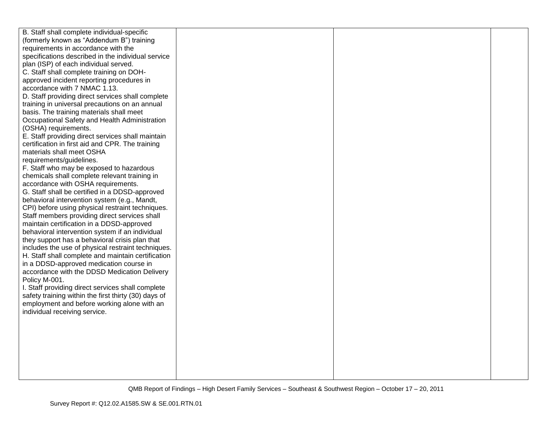| B. Staff shall complete individual-specific          |  |  |
|------------------------------------------------------|--|--|
| (formerly known as "Addendum B") training            |  |  |
| requirements in accordance with the                  |  |  |
| specifications described in the individual service   |  |  |
| plan (ISP) of each individual served.                |  |  |
| C. Staff shall complete training on DOH-             |  |  |
| approved incident reporting procedures in            |  |  |
| accordance with 7 NMAC 1.13.                         |  |  |
| D. Staff providing direct services shall complete    |  |  |
| training in universal precautions on an annual       |  |  |
| basis. The training materials shall meet             |  |  |
| Occupational Safety and Health Administration        |  |  |
| (OSHA) requirements.                                 |  |  |
| E. Staff providing direct services shall maintain    |  |  |
| certification in first aid and CPR. The training     |  |  |
| materials shall meet OSHA                            |  |  |
| requirements/guidelines.                             |  |  |
| F. Staff who may be exposed to hazardous             |  |  |
| chemicals shall complete relevant training in        |  |  |
| accordance with OSHA requirements.                   |  |  |
| G. Staff shall be certified in a DDSD-approved       |  |  |
| behavioral intervention system (e.g., Mandt,         |  |  |
| CPI) before using physical restraint techniques.     |  |  |
| Staff members providing direct services shall        |  |  |
| maintain certification in a DDSD-approved            |  |  |
| behavioral intervention system if an individual      |  |  |
| they support has a behavioral crisis plan that       |  |  |
| includes the use of physical restraint techniques.   |  |  |
| H. Staff shall complete and maintain certification   |  |  |
| in a DDSD-approved medication course in              |  |  |
| accordance with the DDSD Medication Delivery         |  |  |
| Policy M-001.                                        |  |  |
| I. Staff providing direct services shall complete    |  |  |
| safety training within the first thirty (30) days of |  |  |
| employment and before working alone with an          |  |  |
| individual receiving service.                        |  |  |
|                                                      |  |  |
|                                                      |  |  |
|                                                      |  |  |
|                                                      |  |  |
|                                                      |  |  |
|                                                      |  |  |
|                                                      |  |  |
|                                                      |  |  |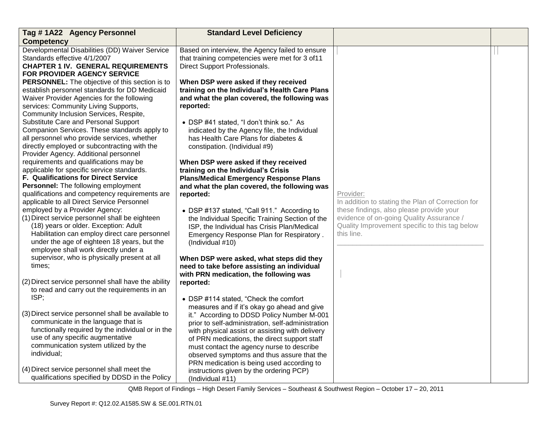| Tag #1A22 Agency Personnel                                                                                                  | <b>Standard Level Deficiency</b>                                                                                                   |                                                                |  |
|-----------------------------------------------------------------------------------------------------------------------------|------------------------------------------------------------------------------------------------------------------------------------|----------------------------------------------------------------|--|
| <b>Competency</b>                                                                                                           |                                                                                                                                    |                                                                |  |
| Developmental Disabilities (DD) Waiver Service<br>Standards effective 4/1/2007<br><b>CHAPTER 1 IV. GENERAL REQUIREMENTS</b> | Based on interview, the Agency failed to ensure<br>that training competencies were met for 3 of11<br>Direct Support Professionals. |                                                                |  |
| FOR PROVIDER AGENCY SERVICE                                                                                                 |                                                                                                                                    |                                                                |  |
| <b>PERSONNEL:</b> The objective of this section is to                                                                       | When DSP were asked if they received                                                                                               |                                                                |  |
| establish personnel standards for DD Medicaid<br>Waiver Provider Agencies for the following                                 | training on the Individual's Health Care Plans<br>and what the plan covered, the following was                                     |                                                                |  |
| services: Community Living Supports,                                                                                        | reported:                                                                                                                          |                                                                |  |
| Community Inclusion Services, Respite,                                                                                      |                                                                                                                                    |                                                                |  |
| Substitute Care and Personal Support                                                                                        | • DSP #41 stated, "I don't think so." As                                                                                           |                                                                |  |
| Companion Services. These standards apply to                                                                                | indicated by the Agency file, the Individual                                                                                       |                                                                |  |
| all personnel who provide services, whether                                                                                 | has Health Care Plans for diabetes &                                                                                               |                                                                |  |
| directly employed or subcontracting with the                                                                                | constipation. (Individual #9)                                                                                                      |                                                                |  |
| Provider Agency. Additional personnel                                                                                       |                                                                                                                                    |                                                                |  |
| requirements and qualifications may be                                                                                      | When DSP were asked if they received                                                                                               |                                                                |  |
| applicable for specific service standards.                                                                                  | training on the Individual's Crisis                                                                                                |                                                                |  |
| F. Qualifications for Direct Service                                                                                        | <b>Plans/Medical Emergency Response Plans</b>                                                                                      |                                                                |  |
| Personnel: The following employment                                                                                         | and what the plan covered, the following was                                                                                       |                                                                |  |
| qualifications and competency requirements are<br>applicable to all Direct Service Personnel                                | reported:                                                                                                                          | Provider:<br>In addition to stating the Plan of Correction for |  |
| employed by a Provider Agency:                                                                                              | • DSP #137 stated, "Call 911." According to                                                                                        | these findings, also please provide your                       |  |
| (1) Direct service personnel shall be eighteen                                                                              | the Individual Specific Training Section of the                                                                                    | evidence of on-going Quality Assurance /                       |  |
| (18) years or older. Exception: Adult                                                                                       | ISP, the Individual has Crisis Plan/Medical                                                                                        | Quality Improvement specific to this tag below                 |  |
| Habilitation can employ direct care personnel                                                                               | Emergency Response Plan for Respiratory.                                                                                           | this line.                                                     |  |
| under the age of eighteen 18 years, but the                                                                                 | (Individual #10)                                                                                                                   |                                                                |  |
| employee shall work directly under a                                                                                        |                                                                                                                                    |                                                                |  |
| supervisor, who is physically present at all                                                                                | When DSP were asked, what steps did they                                                                                           |                                                                |  |
| times;                                                                                                                      | need to take before assisting an individual                                                                                        |                                                                |  |
|                                                                                                                             | with PRN medication, the following was                                                                                             |                                                                |  |
| (2) Direct service personnel shall have the ability                                                                         | reported:                                                                                                                          |                                                                |  |
| to read and carry out the requirements in an<br>ISP;                                                                        |                                                                                                                                    |                                                                |  |
|                                                                                                                             | • DSP #114 stated, "Check the comfort                                                                                              |                                                                |  |
| (3) Direct service personnel shall be available to                                                                          | measures and if it's okay go ahead and give<br>it." According to DDSD Policy Number M-001                                          |                                                                |  |
| communicate in the language that is                                                                                         | prior to self-administration, self-administration                                                                                  |                                                                |  |
| functionally required by the individual or in the                                                                           | with physical assist or assisting with delivery                                                                                    |                                                                |  |
| use of any specific augmentative                                                                                            | of PRN medications, the direct support staff                                                                                       |                                                                |  |
| communication system utilized by the                                                                                        | must contact the agency nurse to describe                                                                                          |                                                                |  |
| individual;                                                                                                                 | observed symptoms and thus assure that the                                                                                         |                                                                |  |
|                                                                                                                             | PRN medication is being used according to                                                                                          |                                                                |  |
| (4) Direct service personnel shall meet the                                                                                 | instructions given by the ordering PCP)                                                                                            |                                                                |  |
| qualifications specified by DDSD in the Policy                                                                              | (Individual #11)                                                                                                                   |                                                                |  |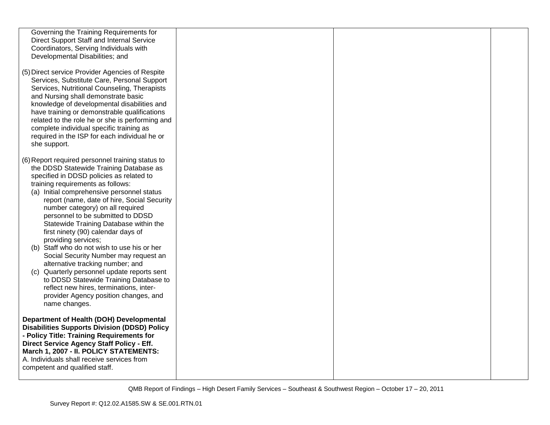| Governing the Training Requirements for                                                     |  |  |
|---------------------------------------------------------------------------------------------|--|--|
| Direct Support Staff and Internal Service                                                   |  |  |
| Coordinators, Serving Individuals with                                                      |  |  |
| Developmental Disabilities; and                                                             |  |  |
|                                                                                             |  |  |
| (5) Direct service Provider Agencies of Respite                                             |  |  |
| Services, Substitute Care, Personal Support                                                 |  |  |
| Services, Nutritional Counseling, Therapists                                                |  |  |
| and Nursing shall demonstrate basic                                                         |  |  |
| knowledge of developmental disabilities and                                                 |  |  |
| have training or demonstrable qualifications                                                |  |  |
| related to the role he or she is performing and                                             |  |  |
| complete individual specific training as                                                    |  |  |
| required in the ISP for each individual he or                                               |  |  |
| she support.                                                                                |  |  |
|                                                                                             |  |  |
|                                                                                             |  |  |
| (6) Report required personnel training status to<br>the DDSD Statewide Training Database as |  |  |
|                                                                                             |  |  |
| specified in DDSD policies as related to<br>training requirements as follows:               |  |  |
|                                                                                             |  |  |
| (a) Initial comprehensive personnel status                                                  |  |  |
| report (name, date of hire, Social Security                                                 |  |  |
| number category) on all required                                                            |  |  |
| personnel to be submitted to DDSD                                                           |  |  |
| Statewide Training Database within the                                                      |  |  |
| first ninety (90) calendar days of                                                          |  |  |
| providing services;                                                                         |  |  |
| (b) Staff who do not wish to use his or her                                                 |  |  |
| Social Security Number may request an                                                       |  |  |
| alternative tracking number; and                                                            |  |  |
| (c) Quarterly personnel update reports sent                                                 |  |  |
| to DDSD Statewide Training Database to                                                      |  |  |
| reflect new hires, terminations, inter-                                                     |  |  |
| provider Agency position changes, and                                                       |  |  |
| name changes.                                                                               |  |  |
|                                                                                             |  |  |
| Department of Health (DOH) Developmental                                                    |  |  |
| <b>Disabilities Supports Division (DDSD) Policy</b>                                         |  |  |
| - Policy Title: Training Requirements for                                                   |  |  |
| Direct Service Agency Staff Policy - Eff.                                                   |  |  |
| March 1, 2007 - II. POLICY STATEMENTS:                                                      |  |  |
| A. Individuals shall receive services from                                                  |  |  |
| competent and qualified staff.                                                              |  |  |
|                                                                                             |  |  |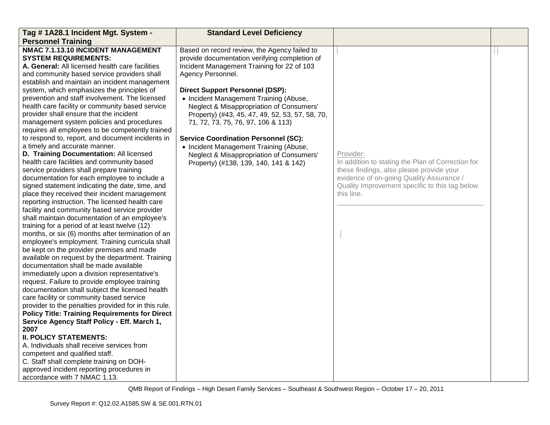| Tag # 1A28.1 Incident Mgt. System -                                                                                                                                                                                                                                                                                                                                                                                                                                                                                                                                                                                                                                                                                                                                                                                                                                                                                                                                                                                                                                                                                                                                                                                                                                                                                                                                                                                                                        | <b>Standard Level Deficiency</b>                                                                                                                                                                                                                                                                                                                                                                                                                                                                                                                                        |                                                                                                                                                                                                                        |  |
|------------------------------------------------------------------------------------------------------------------------------------------------------------------------------------------------------------------------------------------------------------------------------------------------------------------------------------------------------------------------------------------------------------------------------------------------------------------------------------------------------------------------------------------------------------------------------------------------------------------------------------------------------------------------------------------------------------------------------------------------------------------------------------------------------------------------------------------------------------------------------------------------------------------------------------------------------------------------------------------------------------------------------------------------------------------------------------------------------------------------------------------------------------------------------------------------------------------------------------------------------------------------------------------------------------------------------------------------------------------------------------------------------------------------------------------------------------|-------------------------------------------------------------------------------------------------------------------------------------------------------------------------------------------------------------------------------------------------------------------------------------------------------------------------------------------------------------------------------------------------------------------------------------------------------------------------------------------------------------------------------------------------------------------------|------------------------------------------------------------------------------------------------------------------------------------------------------------------------------------------------------------------------|--|
| <b>Personnel Training</b>                                                                                                                                                                                                                                                                                                                                                                                                                                                                                                                                                                                                                                                                                                                                                                                                                                                                                                                                                                                                                                                                                                                                                                                                                                                                                                                                                                                                                                  |                                                                                                                                                                                                                                                                                                                                                                                                                                                                                                                                                                         |                                                                                                                                                                                                                        |  |
| NMAC 7.1.13.10 INCIDENT MANAGEMENT<br><b>SYSTEM REQUIREMENTS:</b><br>A. General: All licensed health care facilities<br>and community based service providers shall<br>establish and maintain an incident management<br>system, which emphasizes the principles of<br>prevention and staff involvement. The licensed<br>health care facility or community based service<br>provider shall ensure that the incident<br>management system policies and procedures<br>requires all employees to be competently trained<br>to respond to, report, and document incidents in<br>a timely and accurate manner.<br>D. Training Documentation: All licensed<br>health care facilities and community based<br>service providers shall prepare training<br>documentation for each employee to include a<br>signed statement indicating the date, time, and<br>place they received their incident management<br>reporting instruction. The licensed health care<br>facility and community based service provider<br>shall maintain documentation of an employee's<br>training for a period of at least twelve (12)<br>months, or six (6) months after termination of an<br>employee's employment. Training curricula shall<br>be kept on the provider premises and made<br>available on request by the department. Training<br>documentation shall be made available<br>immediately upon a division representative's<br>request. Failure to provide employee training | Based on record review, the Agency failed to<br>provide documentation verifying completion of<br>Incident Management Training for 22 of 103<br>Agency Personnel.<br><b>Direct Support Personnel (DSP):</b><br>• Incident Management Training (Abuse,<br>Neglect & Misappropriation of Consumers'<br>Property) (#43, 45, 47, 49, 52, 53, 57, 58, 70,<br>71, 72, 73, 75, 76, 97, 106 & 113)<br><b>Service Coordination Personnel (SC):</b><br>• Incident Management Training (Abuse,<br>Neglect & Misappropriation of Consumers'<br>Property) (#138, 139, 140, 141 & 142) | Provider:<br>In addition to stating the Plan of Correction for<br>these findings, also please provide your<br>evidence of on-going Quality Assurance /<br>Quality Improvement specific to this tag below<br>this line. |  |
| documentation shall subject the licensed health                                                                                                                                                                                                                                                                                                                                                                                                                                                                                                                                                                                                                                                                                                                                                                                                                                                                                                                                                                                                                                                                                                                                                                                                                                                                                                                                                                                                            |                                                                                                                                                                                                                                                                                                                                                                                                                                                                                                                                                                         |                                                                                                                                                                                                                        |  |
| care facility or community based service<br>provider to the penalties provided for in this rule.<br><b>Policy Title: Training Requirements for Direct</b><br>Service Agency Staff Policy - Eff. March 1,                                                                                                                                                                                                                                                                                                                                                                                                                                                                                                                                                                                                                                                                                                                                                                                                                                                                                                                                                                                                                                                                                                                                                                                                                                                   |                                                                                                                                                                                                                                                                                                                                                                                                                                                                                                                                                                         |                                                                                                                                                                                                                        |  |
| 2007<br><b>II. POLICY STATEMENTS:</b><br>A. Individuals shall receive services from<br>competent and qualified staff.<br>C. Staff shall complete training on DOH-<br>approved incident reporting procedures in<br>accordance with 7 NMAC 1.13.                                                                                                                                                                                                                                                                                                                                                                                                                                                                                                                                                                                                                                                                                                                                                                                                                                                                                                                                                                                                                                                                                                                                                                                                             |                                                                                                                                                                                                                                                                                                                                                                                                                                                                                                                                                                         |                                                                                                                                                                                                                        |  |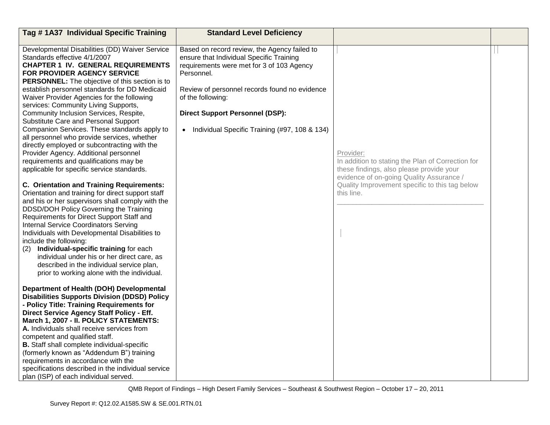| Tag #1A37 Individual Specific Training                                                          | <b>Standard Level Deficiency</b>                                                      |                                                   |  |
|-------------------------------------------------------------------------------------------------|---------------------------------------------------------------------------------------|---------------------------------------------------|--|
|                                                                                                 |                                                                                       |                                                   |  |
| Developmental Disabilities (DD) Waiver Service<br>Standards effective 4/1/2007                  | Based on record review, the Agency failed to                                          |                                                   |  |
| <b>CHAPTER 1 IV. GENERAL REQUIREMENTS</b>                                                       | ensure that Individual Specific Training<br>requirements were met for 3 of 103 Agency |                                                   |  |
| FOR PROVIDER AGENCY SERVICE                                                                     | Personnel.                                                                            |                                                   |  |
| <b>PERSONNEL:</b> The objective of this section is to                                           |                                                                                       |                                                   |  |
| establish personnel standards for DD Medicaid                                                   | Review of personnel records found no evidence                                         |                                                   |  |
| Waiver Provider Agencies for the following                                                      | of the following:                                                                     |                                                   |  |
| services: Community Living Supports,                                                            |                                                                                       |                                                   |  |
| Community Inclusion Services, Respite,                                                          | <b>Direct Support Personnel (DSP):</b>                                                |                                                   |  |
| Substitute Care and Personal Support                                                            |                                                                                       |                                                   |  |
| Companion Services. These standards apply to                                                    | • Individual Specific Training (#97, 108 & 134)                                       |                                                   |  |
| all personnel who provide services, whether                                                     |                                                                                       |                                                   |  |
| directly employed or subcontracting with the                                                    |                                                                                       |                                                   |  |
| Provider Agency. Additional personnel                                                           |                                                                                       | Provider:                                         |  |
| requirements and qualifications may be                                                          |                                                                                       | In addition to stating the Plan of Correction for |  |
| applicable for specific service standards.                                                      |                                                                                       | these findings, also please provide your          |  |
|                                                                                                 |                                                                                       | evidence of on-going Quality Assurance /          |  |
| C. Orientation and Training Requirements:                                                       |                                                                                       | Quality Improvement specific to this tag below    |  |
| Orientation and training for direct support staff                                               |                                                                                       | this line.                                        |  |
| and his or her supervisors shall comply with the                                                |                                                                                       |                                                   |  |
| DDSD/DOH Policy Governing the Training                                                          |                                                                                       |                                                   |  |
| Requirements for Direct Support Staff and                                                       |                                                                                       |                                                   |  |
| <b>Internal Service Coordinators Serving</b>                                                    |                                                                                       |                                                   |  |
| Individuals with Developmental Disabilities to                                                  |                                                                                       |                                                   |  |
| include the following:                                                                          |                                                                                       |                                                   |  |
| Individual-specific training for each<br>(2)                                                    |                                                                                       |                                                   |  |
| individual under his or her direct care, as                                                     |                                                                                       |                                                   |  |
| described in the individual service plan,                                                       |                                                                                       |                                                   |  |
| prior to working alone with the individual.                                                     |                                                                                       |                                                   |  |
|                                                                                                 |                                                                                       |                                                   |  |
| Department of Health (DOH) Developmental                                                        |                                                                                       |                                                   |  |
| <b>Disabilities Supports Division (DDSD) Policy</b>                                             |                                                                                       |                                                   |  |
| - Policy Title: Training Requirements for                                                       |                                                                                       |                                                   |  |
| Direct Service Agency Staff Policy - Eff.                                                       |                                                                                       |                                                   |  |
| March 1, 2007 - II. POLICY STATEMENTS:                                                          |                                                                                       |                                                   |  |
| A. Individuals shall receive services from<br>competent and qualified staff.                    |                                                                                       |                                                   |  |
|                                                                                                 |                                                                                       |                                                   |  |
| <b>B.</b> Staff shall complete individual-specific<br>(formerly known as "Addendum B") training |                                                                                       |                                                   |  |
| requirements in accordance with the                                                             |                                                                                       |                                                   |  |
| specifications described in the individual service                                              |                                                                                       |                                                   |  |
| plan (ISP) of each individual served.                                                           |                                                                                       |                                                   |  |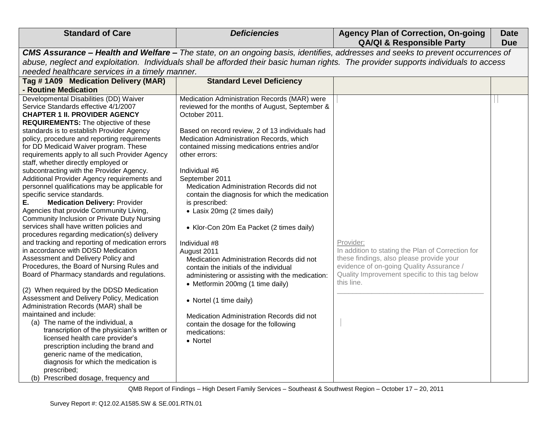| <b>Standard of Care</b>                                                                                                                                                                                                                                                                                                                                                                                                                                                                                                                                                                                                                                                                                                                                                                                                                                                                                                                                                                                                                                                                                                                                                                                                                                                                                                               | <b>Deficiencies</b>                                                                                                                                                                                                                                                                                                                                                                                                                                                                                                                                                                                                                                                                                                                                                                                                                                                       | <b>Agency Plan of Correction, On-going</b><br><b>QA/QI &amp; Responsible Party</b>                                                                                                                                     | <b>Date</b><br><b>Due</b> |
|---------------------------------------------------------------------------------------------------------------------------------------------------------------------------------------------------------------------------------------------------------------------------------------------------------------------------------------------------------------------------------------------------------------------------------------------------------------------------------------------------------------------------------------------------------------------------------------------------------------------------------------------------------------------------------------------------------------------------------------------------------------------------------------------------------------------------------------------------------------------------------------------------------------------------------------------------------------------------------------------------------------------------------------------------------------------------------------------------------------------------------------------------------------------------------------------------------------------------------------------------------------------------------------------------------------------------------------|---------------------------------------------------------------------------------------------------------------------------------------------------------------------------------------------------------------------------------------------------------------------------------------------------------------------------------------------------------------------------------------------------------------------------------------------------------------------------------------------------------------------------------------------------------------------------------------------------------------------------------------------------------------------------------------------------------------------------------------------------------------------------------------------------------------------------------------------------------------------------|------------------------------------------------------------------------------------------------------------------------------------------------------------------------------------------------------------------------|---------------------------|
|                                                                                                                                                                                                                                                                                                                                                                                                                                                                                                                                                                                                                                                                                                                                                                                                                                                                                                                                                                                                                                                                                                                                                                                                                                                                                                                                       |                                                                                                                                                                                                                                                                                                                                                                                                                                                                                                                                                                                                                                                                                                                                                                                                                                                                           | CMS Assurance - Health and Welfare - The state, on an ongoing basis, identifies, addresses and seeks to prevent occurrences of                                                                                         |                           |
|                                                                                                                                                                                                                                                                                                                                                                                                                                                                                                                                                                                                                                                                                                                                                                                                                                                                                                                                                                                                                                                                                                                                                                                                                                                                                                                                       |                                                                                                                                                                                                                                                                                                                                                                                                                                                                                                                                                                                                                                                                                                                                                                                                                                                                           | abuse, neglect and exploitation. Individuals shall be afforded their basic human rights. The provider supports individuals to access                                                                                   |                           |
| needed healthcare services in a timely manner.                                                                                                                                                                                                                                                                                                                                                                                                                                                                                                                                                                                                                                                                                                                                                                                                                                                                                                                                                                                                                                                                                                                                                                                                                                                                                        |                                                                                                                                                                                                                                                                                                                                                                                                                                                                                                                                                                                                                                                                                                                                                                                                                                                                           |                                                                                                                                                                                                                        |                           |
| Tag #1A09 Medication Delivery (MAR)                                                                                                                                                                                                                                                                                                                                                                                                                                                                                                                                                                                                                                                                                                                                                                                                                                                                                                                                                                                                                                                                                                                                                                                                                                                                                                   | <b>Standard Level Deficiency</b>                                                                                                                                                                                                                                                                                                                                                                                                                                                                                                                                                                                                                                                                                                                                                                                                                                          |                                                                                                                                                                                                                        |                           |
| - Routine Medication                                                                                                                                                                                                                                                                                                                                                                                                                                                                                                                                                                                                                                                                                                                                                                                                                                                                                                                                                                                                                                                                                                                                                                                                                                                                                                                  |                                                                                                                                                                                                                                                                                                                                                                                                                                                                                                                                                                                                                                                                                                                                                                                                                                                                           |                                                                                                                                                                                                                        |                           |
| Developmental Disabilities (DD) Waiver<br>Service Standards effective 4/1/2007<br><b>CHAPTER 1 II. PROVIDER AGENCY</b><br><b>REQUIREMENTS:</b> The objective of these<br>standards is to establish Provider Agency<br>policy, procedure and reporting requirements<br>for DD Medicaid Waiver program. These<br>requirements apply to all such Provider Agency<br>staff, whether directly employed or<br>subcontracting with the Provider Agency.<br>Additional Provider Agency requirements and<br>personnel qualifications may be applicable for<br>specific service standards.<br><b>Medication Delivery: Provider</b><br>Е.<br>Agencies that provide Community Living,<br>Community Inclusion or Private Duty Nursing<br>services shall have written policies and<br>procedures regarding medication(s) delivery<br>and tracking and reporting of medication errors<br>in accordance with DDSD Medication<br>Assessment and Delivery Policy and<br>Procedures, the Board of Nursing Rules and<br>Board of Pharmacy standards and regulations.<br>(2) When required by the DDSD Medication<br>Assessment and Delivery Policy, Medication<br>Administration Records (MAR) shall be<br>maintained and include:<br>(a) The name of the individual, a<br>transcription of the physician's written or<br>licensed health care provider's | Medication Administration Records (MAR) were<br>reviewed for the months of August, September &<br>October 2011.<br>Based on record review, 2 of 13 individuals had<br>Medication Administration Records, which<br>contained missing medications entries and/or<br>other errors:<br>Individual #6<br>September 2011<br>Medication Administration Records did not<br>contain the diagnosis for which the medication<br>is prescribed:<br>• Lasix 20mg (2 times daily)<br>• Klor-Con 20m Ea Packet (2 times daily)<br>Individual #8<br>August 2011<br>Medication Administration Records did not<br>contain the initials of the individual<br>administering or assisting with the medication:<br>• Metformin 200mg (1 time daily)<br>• Nortel (1 time daily)<br>Medication Administration Records did not<br>contain the dosage for the following<br>medications:<br>• Nortel | Provider:<br>In addition to stating the Plan of Correction for<br>these findings, also please provide your<br>evidence of on-going Quality Assurance /<br>Quality Improvement specific to this tag below<br>this line. |                           |
| prescription including the brand and<br>generic name of the medication,<br>diagnosis for which the medication is<br>prescribed;<br>(b) Prescribed dosage, frequency and                                                                                                                                                                                                                                                                                                                                                                                                                                                                                                                                                                                                                                                                                                                                                                                                                                                                                                                                                                                                                                                                                                                                                               |                                                                                                                                                                                                                                                                                                                                                                                                                                                                                                                                                                                                                                                                                                                                                                                                                                                                           |                                                                                                                                                                                                                        |                           |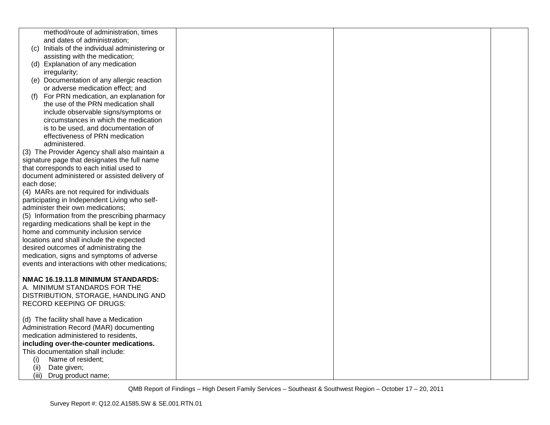| method/route of administration, times           |  |  |
|-------------------------------------------------|--|--|
| and dates of administration;                    |  |  |
| (c) Initials of the individual administering or |  |  |
| assisting with the medication;                  |  |  |
| (d) Explanation of any medication               |  |  |
| irregularity;                                   |  |  |
| (e) Documentation of any allergic reaction      |  |  |
|                                                 |  |  |
| or adverse medication effect; and               |  |  |
| For PRN medication, an explanation for<br>(f)   |  |  |
| the use of the PRN medication shall             |  |  |
| include observable signs/symptoms or            |  |  |
| circumstances in which the medication           |  |  |
| is to be used, and documentation of             |  |  |
| effectiveness of PRN medication                 |  |  |
| administered.                                   |  |  |
| (3) The Provider Agency shall also maintain a   |  |  |
| signature page that designates the full name    |  |  |
| that corresponds to each initial used to        |  |  |
| document administered or assisted delivery of   |  |  |
| each dose;                                      |  |  |
| (4) MARs are not required for individuals       |  |  |
| participating in Independent Living who self-   |  |  |
|                                                 |  |  |
| administer their own medications;               |  |  |
| (5) Information from the prescribing pharmacy   |  |  |
| regarding medications shall be kept in the      |  |  |
| home and community inclusion service            |  |  |
| locations and shall include the expected        |  |  |
| desired outcomes of administrating the          |  |  |
| medication, signs and symptoms of adverse       |  |  |
| events and interactions with other medications; |  |  |
|                                                 |  |  |
| NMAC 16.19.11.8 MINIMUM STANDARDS:              |  |  |
| A. MINIMUM STANDARDS FOR THE                    |  |  |
| DISTRIBUTION, STORAGE, HANDLING AND             |  |  |
| <b>RECORD KEEPING OF DRUGS:</b>                 |  |  |
|                                                 |  |  |
| (d) The facility shall have a Medication        |  |  |
| Administration Record (MAR) documenting         |  |  |
|                                                 |  |  |
| medication administered to residents,           |  |  |
| including over-the-counter medications.         |  |  |
| This documentation shall include:               |  |  |
| (i)<br>Name of resident;                        |  |  |
| Date given;<br>(ii)                             |  |  |
| (iii)<br>Drug product name;                     |  |  |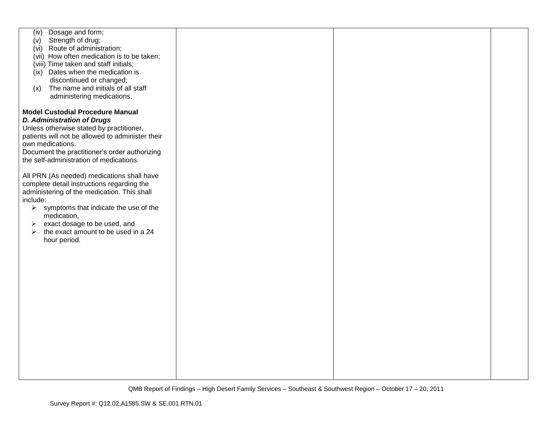| Dosage and form;<br>(iv)                                       |  |  |
|----------------------------------------------------------------|--|--|
| Strength of drug;<br>(v)                                       |  |  |
| (vi) Route of administration;                                  |  |  |
|                                                                |  |  |
| (vii) How often medication is to be taken;                     |  |  |
| (viii) Time taken and staff initials;                          |  |  |
| (ix) Dates when the medication is                              |  |  |
|                                                                |  |  |
| discontinued or changed;                                       |  |  |
| The name and initials of all staff<br>(x)                      |  |  |
| administering medications.                                     |  |  |
|                                                                |  |  |
|                                                                |  |  |
| <b>Model Custodial Procedure Manual</b>                        |  |  |
| <b>D. Administration of Drugs</b>                              |  |  |
|                                                                |  |  |
| Unless otherwise stated by practitioner,                       |  |  |
| patients will not be allowed to administer their               |  |  |
| own medications.                                               |  |  |
|                                                                |  |  |
| Document the practitioner's order authorizing                  |  |  |
| the self-administration of medications.                        |  |  |
|                                                                |  |  |
| All PRN (As needed) medications shall have                     |  |  |
|                                                                |  |  |
| complete detail instructions regarding the                     |  |  |
| administering of the medication. This shall                    |  |  |
| include:                                                       |  |  |
|                                                                |  |  |
| $\blacktriangleright$<br>symptoms that indicate the use of the |  |  |
| medication,                                                    |  |  |
| exact dosage to be used, and<br>➤                              |  |  |
| the exact amount to be used in a 24                            |  |  |
| ➤                                                              |  |  |
| hour period.                                                   |  |  |
|                                                                |  |  |
|                                                                |  |  |
|                                                                |  |  |
|                                                                |  |  |
|                                                                |  |  |
|                                                                |  |  |
|                                                                |  |  |
|                                                                |  |  |
|                                                                |  |  |
|                                                                |  |  |
|                                                                |  |  |
|                                                                |  |  |
|                                                                |  |  |
|                                                                |  |  |
|                                                                |  |  |
|                                                                |  |  |
|                                                                |  |  |
|                                                                |  |  |
|                                                                |  |  |
|                                                                |  |  |
|                                                                |  |  |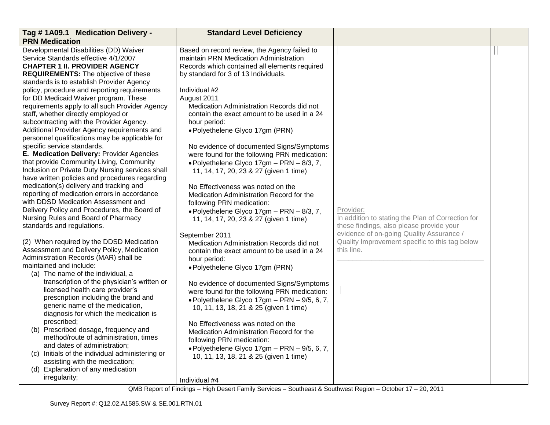| Tag #1A09.1 Medication Delivery -                                                      | <b>Standard Level Deficiency</b>                                      |                                                                                            |  |
|----------------------------------------------------------------------------------------|-----------------------------------------------------------------------|--------------------------------------------------------------------------------------------|--|
| <b>PRN Medication</b>                                                                  |                                                                       |                                                                                            |  |
| Developmental Disabilities (DD) Waiver                                                 | Based on record review, the Agency failed to                          |                                                                                            |  |
| Service Standards effective 4/1/2007                                                   | maintain PRN Medication Administration                                |                                                                                            |  |
| <b>CHAPTER 1 II. PROVIDER AGENCY</b>                                                   | Records which contained all elements required                         |                                                                                            |  |
| <b>REQUIREMENTS:</b> The objective of these                                            | by standard for 3 of 13 Individuals.                                  |                                                                                            |  |
| standards is to establish Provider Agency                                              |                                                                       |                                                                                            |  |
| policy, procedure and reporting requirements                                           | Individual #2                                                         |                                                                                            |  |
| for DD Medicaid Waiver program. These                                                  | August 2011                                                           |                                                                                            |  |
| requirements apply to all such Provider Agency                                         | Medication Administration Records did not                             |                                                                                            |  |
| staff, whether directly employed or                                                    | contain the exact amount to be used in a 24                           |                                                                                            |  |
| subcontracting with the Provider Agency.                                               | hour period:                                                          |                                                                                            |  |
| Additional Provider Agency requirements and                                            | · Polyethelene Glyco 17gm (PRN)                                       |                                                                                            |  |
| personnel qualifications may be applicable for                                         |                                                                       |                                                                                            |  |
| specific service standards.                                                            | No evidence of documented Signs/Symptoms                              |                                                                                            |  |
| E. Medication Delivery: Provider Agencies                                              | were found for the following PRN medication:                          |                                                                                            |  |
| that provide Community Living, Community                                               | $\bullet$ Polyethelene Glyco 17gm - PRN - 8/3, 7,                     |                                                                                            |  |
| Inclusion or Private Duty Nursing services shall                                       | 11, 14, 17, 20, 23 & 27 (given 1 time)                                |                                                                                            |  |
| have written policies and procedures regarding                                         |                                                                       |                                                                                            |  |
| medication(s) delivery and tracking and                                                | No Effectiveness was noted on the                                     |                                                                                            |  |
| reporting of medication errors in accordance                                           | Medication Administration Record for the                              |                                                                                            |  |
| with DDSD Medication Assessment and                                                    | following PRN medication:                                             |                                                                                            |  |
| Delivery Policy and Procedures, the Board of                                           | $\bullet$ Polyethelene Glyco 17gm - PRN - 8/3, 7,                     | Provider:                                                                                  |  |
| Nursing Rules and Board of Pharmacy                                                    | 11, 14, 17, 20, 23 & 27 (given 1 time)                                | In addition to stating the Plan of Correction for                                          |  |
| standards and regulations.                                                             |                                                                       | these findings, also please provide your                                                   |  |
|                                                                                        | September 2011                                                        | evidence of on-going Quality Assurance /<br>Quality Improvement specific to this tag below |  |
| (2) When required by the DDSD Medication<br>Assessment and Delivery Policy, Medication | Medication Administration Records did not                             |                                                                                            |  |
| Administration Records (MAR) shall be                                                  | contain the exact amount to be used in a 24                           | this line.                                                                                 |  |
| maintained and include:                                                                | hour period:                                                          |                                                                                            |  |
| (a) The name of the individual, a                                                      | · Polyethelene Glyco 17gm (PRN)                                       |                                                                                            |  |
| transcription of the physician's written or                                            |                                                                       |                                                                                            |  |
| licensed health care provider's                                                        | No evidence of documented Signs/Symptoms                              |                                                                                            |  |
| prescription including the brand and                                                   | were found for the following PRN medication:                          |                                                                                            |  |
| generic name of the medication,                                                        | · Polyethelene Glyco 17gm - PRN - 9/5, 6, 7,                          |                                                                                            |  |
| diagnosis for which the medication is                                                  | 10, 11, 13, 18, 21 & 25 (given 1 time)                                |                                                                                            |  |
| prescribed;                                                                            |                                                                       |                                                                                            |  |
| (b) Prescribed dosage, frequency and                                                   | No Effectiveness was noted on the                                     |                                                                                            |  |
| method/route of administration, times                                                  | Medication Administration Record for the<br>following PRN medication: |                                                                                            |  |
| and dates of administration;                                                           |                                                                       |                                                                                            |  |
| Initials of the individual administering or<br>(C)                                     | · Polyethelene Glyco 17gm - PRN - 9/5, 6, 7,                          |                                                                                            |  |
| assisting with the medication;                                                         | 10, 11, 13, 18, 21 & 25 (given 1 time)                                |                                                                                            |  |
| (d) Explanation of any medication                                                      |                                                                       |                                                                                            |  |
| irregularity;                                                                          | Individual #4                                                         |                                                                                            |  |
|                                                                                        |                                                                       |                                                                                            |  |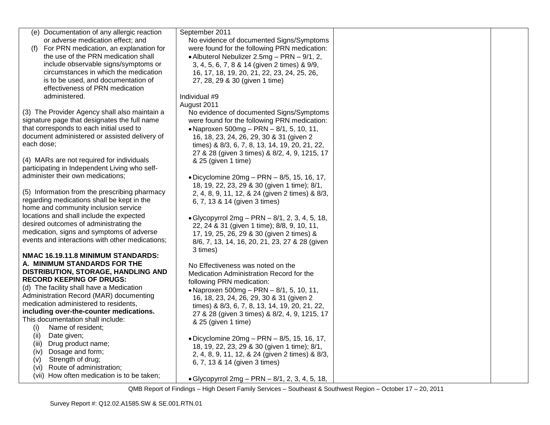| (e) Documentation of any allergic reaction                         | September 2011                                                       |  |
|--------------------------------------------------------------------|----------------------------------------------------------------------|--|
| or adverse medication effect; and                                  | No evidence of documented Signs/Symptoms                             |  |
| For PRN medication, an explanation for<br>(f)                      | were found for the following PRN medication:                         |  |
| the use of the PRN medication shall                                | • Albuterol Nebulizer 2.5mg - PRN - 9/1, 2,                          |  |
| include observable signs/symptoms or                               | 3, 4, 5, 6, 7, 8 & 14 (given 2 times) & 9/9,                         |  |
| circumstances in which the medication                              | 16, 17, 18, 19, 20, 21, 22, 23, 24, 25, 26,                          |  |
| is to be used, and documentation of                                | 27, 28, 29 & 30 (given 1 time)                                       |  |
| effectiveness of PRN medication                                    |                                                                      |  |
| administered.                                                      | Individual #9                                                        |  |
|                                                                    | August 2011                                                          |  |
| (3) The Provider Agency shall also maintain a                      | No evidence of documented Signs/Symptoms                             |  |
| signature page that designates the full name                       | were found for the following PRN medication:                         |  |
| that corresponds to each initial used to                           | • Naproxen 500mg - PRN - 8/1, 5, 10, 11,                             |  |
| document administered or assisted delivery of                      | 16, 18, 23, 24, 26, 29, 30 & 31 (given 2                             |  |
| each dose;                                                         | times) & 8/3, 6, 7, 8, 13, 14, 19, 20, 21, 22,                       |  |
|                                                                    | 27 & 28 (given 3 times) & 8/2, 4, 9, 1215, 17                        |  |
| (4) MARs are not required for individuals                          | & 25 (given 1 time)                                                  |  |
| participating in Independent Living who self-                      |                                                                      |  |
| administer their own medications;                                  | • Dicyclomine $20mg - PRN - 8/5$ , 15, 16, 17,                       |  |
|                                                                    | 18, 19, 22, 23, 29 & 30 (given 1 time); 8/1,                         |  |
| (5) Information from the prescribing pharmacy                      | 2, 4, 8, 9, 11, 12, & 24 (given 2 times) & 8/3,                      |  |
| regarding medications shall be kept in the                         | 6, 7, 13 & 14 (given 3 times)                                        |  |
| home and community inclusion service                               |                                                                      |  |
| locations and shall include the expected                           | • Glycopyrrol 2mg - PRN - 8/1, 2, 3, 4, 5, 18,                       |  |
| desired outcomes of administrating the                             | 22, 24 & 31 (given 1 time); 8/8, 9, 10, 11,                          |  |
| medication, signs and symptoms of adverse                          | 17, 19, 25, 26, 29 & 30 (given 2 times) &                            |  |
| events and interactions with other medications;                    | 8/6, 7, 13, 14, 16, 20, 21, 23, 27 & 28 (given                       |  |
|                                                                    | 3 times)                                                             |  |
| NMAC 16.19.11.8 MINIMUM STANDARDS:<br>A. MINIMUM STANDARDS FOR THE |                                                                      |  |
| DISTRIBUTION, STORAGE, HANDLING AND                                | No Effectiveness was noted on the                                    |  |
| <b>RECORD KEEPING OF DRUGS:</b>                                    | Medication Administration Record for the                             |  |
| (d) The facility shall have a Medication                           | following PRN medication:                                            |  |
| Administration Record (MAR) documenting                            | • Naproxen 500mg - PRN - 8/1, 5, 10, 11,                             |  |
| medication administered to residents,                              | 16, 18, 23, 24, 26, 29, 30 & 31 (given 2                             |  |
| including over-the-counter medications.                            | times) & 8/3, 6, 7, 8, 13, 14, 19, 20, 21, 22,                       |  |
| This documentation shall include:                                  | 27 & 28 (given 3 times) & 8/2, 4, 9, 1215, 17<br>& 25 (given 1 time) |  |
| Name of resident;<br>(i)                                           |                                                                      |  |
| Date given;<br>(ii)                                                | • Dicyclomine 20mg - PRN - 8/5, 15, 16, 17,                          |  |
| Drug product name;<br>(iii)                                        | 18, 19, 22, 23, 29 & 30 (given 1 time); 8/1,                         |  |
| Dosage and form;<br>(iv)                                           | 2, 4, 8, 9, 11, 12, & 24 (given 2 times) & 8/3,                      |  |
| Strength of drug;<br>(v)                                           | 6, 7, 13 & 14 (given 3 times)                                        |  |
| Route of administration;<br>(vi)                                   |                                                                      |  |
| (vii) How often medication is to be taken;                         | • Glycopyrrol 2mg - PRN - 8/1, 2, 3, 4, 5, 18,                       |  |
|                                                                    |                                                                      |  |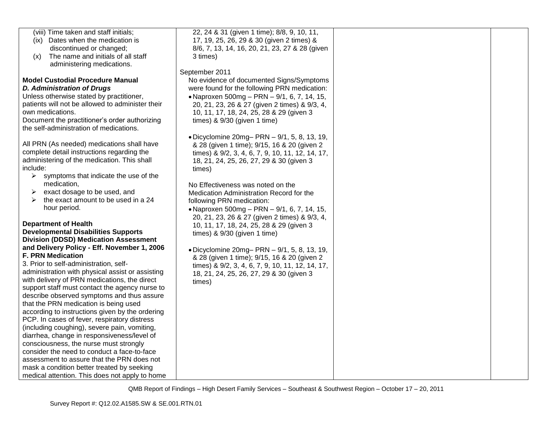| (viii) Time taken and staff initials;            | 22, 24 & 31 (given 1 time); 8/8, 9, 10, 11,                                                  |  |
|--------------------------------------------------|----------------------------------------------------------------------------------------------|--|
| (ix) Dates when the medication is                | 17, 19, 25, 26, 29 & 30 (given 2 times) &                                                    |  |
| discontinued or changed;                         | 8/6, 7, 13, 14, 16, 20, 21, 23, 27 & 28 (given                                               |  |
| The name and initials of all staff<br>(x)        | 3 times)                                                                                     |  |
| administering medications.                       |                                                                                              |  |
|                                                  | September 2011                                                                               |  |
| <b>Model Custodial Procedure Manual</b>          | No evidence of documented Signs/Symptoms                                                     |  |
| <b>D. Administration of Drugs</b>                | were found for the following PRN medication:                                                 |  |
| Unless otherwise stated by practitioner,         | • Naproxen 500mg - PRN - 9/1, 6, 7, 14, 15,                                                  |  |
| patients will not be allowed to administer their | 20, 21, 23, 26 & 27 (given 2 times) & 9/3, 4,                                                |  |
| own medications.                                 | 10, 11, 17, 18, 24, 25, 28 & 29 (given 3                                                     |  |
| Document the practitioner's order authorizing    | times) $& 9/30$ (given 1 time)                                                               |  |
| the self-administration of medications.          |                                                                                              |  |
|                                                  | • Dicyclomine 20mg- PRN - 9/1, 5, 8, 13, 19,                                                 |  |
| All PRN (As needed) medications shall have       | & 28 (given 1 time); 9/15, 16 & 20 (given 2                                                  |  |
| complete detail instructions regarding the       | times) & 9/2, 3, 4, 6, 7, 9, 10, 11, 12, 14, 17,                                             |  |
| administering of the medication. This shall      |                                                                                              |  |
| include:                                         | 18, 21, 24, 25, 26, 27, 29 & 30 (given 3                                                     |  |
| ➤<br>symptoms that indicate the use of the       | times)                                                                                       |  |
| medication,                                      | No Effectiveness was noted on the                                                            |  |
| exact dosage to be used, and<br>➤                | Medication Administration Record for the                                                     |  |
| the exact amount to be used in a 24<br>➤         | following PRN medication:                                                                    |  |
| hour period.                                     |                                                                                              |  |
|                                                  | • Naproxen 500mg - PRN - 9/1, 6, 7, 14, 15,<br>20, 21, 23, 26 & 27 (given 2 times) & 9/3, 4, |  |
| <b>Department of Health</b>                      |                                                                                              |  |
| <b>Developmental Disabilities Supports</b>       | 10, 11, 17, 18, 24, 25, 28 & 29 (given 3                                                     |  |
| <b>Division (DDSD) Medication Assessment</b>     | times) $& 9/30$ (given 1 time)                                                               |  |
| and Delivery Policy - Eff. November 1, 2006      |                                                                                              |  |
| <b>F. PRN Medication</b>                         | • Dicyclomine 20mg- PRN - 9/1, 5, 8, 13, 19,                                                 |  |
| 3. Prior to self-administration, self-           | & 28 (given 1 time); 9/15, 16 & 20 (given 2                                                  |  |
| administration with physical assist or assisting | times) & 9/2, 3, 4, 6, 7, 9, 10, 11, 12, 14, 17,                                             |  |
| with delivery of PRN medications, the direct     | 18, 21, 24, 25, 26, 27, 29 & 30 (given 3                                                     |  |
| support staff must contact the agency nurse to   | times)                                                                                       |  |
| describe observed symptoms and thus assure       |                                                                                              |  |
| that the PRN medication is being used            |                                                                                              |  |
| according to instructions given by the ordering  |                                                                                              |  |
| PCP. In cases of fever, respiratory distress     |                                                                                              |  |
| (including coughing), severe pain, vomiting,     |                                                                                              |  |
| diarrhea, change in responsiveness/level of      |                                                                                              |  |
| consciousness, the nurse must strongly           |                                                                                              |  |
| consider the need to conduct a face-to-face      |                                                                                              |  |
| assessment to assure that the PRN does not       |                                                                                              |  |
| mask a condition better treated by seeking       |                                                                                              |  |
| medical attention. This does not apply to home   |                                                                                              |  |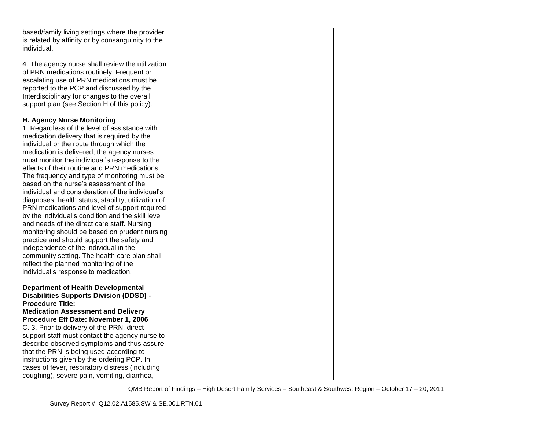| based/family living settings where the provider     |  |  |
|-----------------------------------------------------|--|--|
| is related by affinity or by consanguinity to the   |  |  |
| individual.                                         |  |  |
|                                                     |  |  |
| 4. The agency nurse shall review the utilization    |  |  |
| of PRN medications routinely. Frequent or           |  |  |
| escalating use of PRN medications must be           |  |  |
|                                                     |  |  |
| reported to the PCP and discussed by the            |  |  |
| Interdisciplinary for changes to the overall        |  |  |
| support plan (see Section H of this policy).        |  |  |
|                                                     |  |  |
| H. Agency Nurse Monitoring                          |  |  |
| 1. Regardless of the level of assistance with       |  |  |
| medication delivery that is required by the         |  |  |
| individual or the route through which the           |  |  |
|                                                     |  |  |
| medication is delivered, the agency nurses          |  |  |
| must monitor the individual's response to the       |  |  |
| effects of their routine and PRN medications.       |  |  |
| The frequency and type of monitoring must be        |  |  |
| based on the nurse's assessment of the              |  |  |
| individual and consideration of the individual's    |  |  |
| diagnoses, health status, stability, utilization of |  |  |
| PRN medications and level of support required       |  |  |
| by the individual's condition and the skill level   |  |  |
| and needs of the direct care staff. Nursing         |  |  |
| monitoring should be based on prudent nursing       |  |  |
|                                                     |  |  |
| practice and should support the safety and          |  |  |
| independence of the individual in the               |  |  |
| community setting. The health care plan shall       |  |  |
| reflect the planned monitoring of the               |  |  |
| individual's response to medication.                |  |  |
|                                                     |  |  |
| <b>Department of Health Developmental</b>           |  |  |
| <b>Disabilities Supports Division (DDSD) -</b>      |  |  |
| <b>Procedure Title:</b>                             |  |  |
| <b>Medication Assessment and Delivery</b>           |  |  |
| Procedure Eff Date: November 1, 2006                |  |  |
| C. 3. Prior to delivery of the PRN, direct          |  |  |
|                                                     |  |  |
| support staff must contact the agency nurse to      |  |  |
| describe observed symptoms and thus assure          |  |  |
| that the PRN is being used according to             |  |  |
| instructions given by the ordering PCP. In          |  |  |
| cases of fever, respiratory distress (including     |  |  |
| coughing), severe pain, vomiting, diarrhea,         |  |  |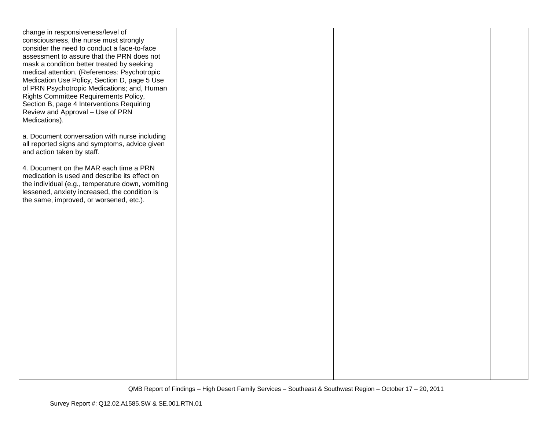| change in responsiveness/level of<br>consciousness, the nurse must strongly                       |  |  |
|---------------------------------------------------------------------------------------------------|--|--|
| consider the need to conduct a face-to-face                                                       |  |  |
| assessment to assure that the PRN does not                                                        |  |  |
| mask a condition better treated by seeking                                                        |  |  |
| medical attention. (References: Psychotropic<br>Medication Use Policy, Section D, page 5 Use      |  |  |
| of PRN Psychotropic Medications; and, Human                                                       |  |  |
| Rights Committee Requirements Policy,                                                             |  |  |
| Section B, page 4 Interventions Requiring                                                         |  |  |
| Review and Approval - Use of PRN<br>Medications).                                                 |  |  |
|                                                                                                   |  |  |
| a. Document conversation with nurse including                                                     |  |  |
| all reported signs and symptoms, advice given<br>and action taken by staff.                       |  |  |
|                                                                                                   |  |  |
| 4. Document on the MAR each time a PRN                                                            |  |  |
| medication is used and describe its effect on<br>the individual (e.g., temperature down, vomiting |  |  |
| lessened, anxiety increased, the condition is                                                     |  |  |
| the same, improved, or worsened, etc.).                                                           |  |  |
|                                                                                                   |  |  |
|                                                                                                   |  |  |
|                                                                                                   |  |  |
|                                                                                                   |  |  |
|                                                                                                   |  |  |
|                                                                                                   |  |  |
|                                                                                                   |  |  |
|                                                                                                   |  |  |
|                                                                                                   |  |  |
|                                                                                                   |  |  |
|                                                                                                   |  |  |
|                                                                                                   |  |  |
|                                                                                                   |  |  |
|                                                                                                   |  |  |
|                                                                                                   |  |  |
|                                                                                                   |  |  |
|                                                                                                   |  |  |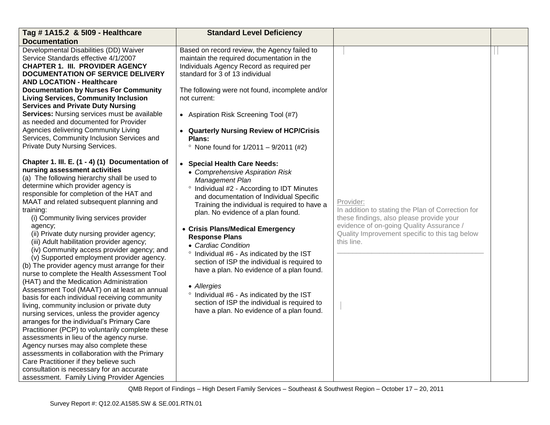| Tag # 1A15.2 & 5109 - Healthcare                                                                                                                                                                                                                                                                                                                                                                                                                                                                                                                                                                                                                                                                                                                                                                                                                                                                                                                                                                                                                                                                                                                                                                                                                   | <b>Standard Level Deficiency</b>                                                                                                                                                                                                                                                                                                                                                                                                                                                                                                                                                                                                                           |                                                                                                                                                                                                                        |  |
|----------------------------------------------------------------------------------------------------------------------------------------------------------------------------------------------------------------------------------------------------------------------------------------------------------------------------------------------------------------------------------------------------------------------------------------------------------------------------------------------------------------------------------------------------------------------------------------------------------------------------------------------------------------------------------------------------------------------------------------------------------------------------------------------------------------------------------------------------------------------------------------------------------------------------------------------------------------------------------------------------------------------------------------------------------------------------------------------------------------------------------------------------------------------------------------------------------------------------------------------------|------------------------------------------------------------------------------------------------------------------------------------------------------------------------------------------------------------------------------------------------------------------------------------------------------------------------------------------------------------------------------------------------------------------------------------------------------------------------------------------------------------------------------------------------------------------------------------------------------------------------------------------------------------|------------------------------------------------------------------------------------------------------------------------------------------------------------------------------------------------------------------------|--|
| <b>Documentation</b>                                                                                                                                                                                                                                                                                                                                                                                                                                                                                                                                                                                                                                                                                                                                                                                                                                                                                                                                                                                                                                                                                                                                                                                                                               |                                                                                                                                                                                                                                                                                                                                                                                                                                                                                                                                                                                                                                                            |                                                                                                                                                                                                                        |  |
| Developmental Disabilities (DD) Waiver<br>Service Standards effective 4/1/2007<br><b>CHAPTER 1. III. PROVIDER AGENCY</b><br><b>DOCUMENTATION OF SERVICE DELIVERY</b><br><b>AND LOCATION - Healthcare</b><br><b>Documentation by Nurses For Community</b><br><b>Living Services, Community Inclusion</b><br><b>Services and Private Duty Nursing</b><br>Services: Nursing services must be available<br>as needed and documented for Provider<br>Agencies delivering Community Living<br>Services, Community Inclusion Services and<br>Private Duty Nursing Services.                                                                                                                                                                                                                                                                                                                                                                                                                                                                                                                                                                                                                                                                               | Based on record review, the Agency failed to<br>maintain the required documentation in the<br>Individuals Agency Record as required per<br>standard for 3 of 13 individual<br>The following were not found, incomplete and/or<br>not current:<br>• Aspiration Risk Screening Tool (#7)<br>• Quarterly Nursing Review of HCP/Crisis<br>Plans:<br>• None found for $1/2011 - 9/2011$ (#2)                                                                                                                                                                                                                                                                    |                                                                                                                                                                                                                        |  |
| Chapter 1. III. E. (1 - 4) (1) Documentation of<br>nursing assessment activities<br>(a) The following hierarchy shall be used to<br>determine which provider agency is<br>responsible for completion of the HAT and<br>MAAT and related subsequent planning and<br>training:<br>(i) Community living services provider<br>agency;<br>(ii) Private duty nursing provider agency;<br>(iii) Adult habilitation provider agency;<br>(iv) Community access provider agency; and<br>(v) Supported employment provider agency.<br>(b) The provider agency must arrange for their<br>nurse to complete the Health Assessment Tool<br>(HAT) and the Medication Administration<br>Assessment Tool (MAAT) on at least an annual<br>basis for each individual receiving community<br>living, community inclusion or private duty<br>nursing services, unless the provider agency<br>arranges for the individual's Primary Care<br>Practitioner (PCP) to voluntarily complete these<br>assessments in lieu of the agency nurse.<br>Agency nurses may also complete these<br>assessments in collaboration with the Primary<br>Care Practitioner if they believe such<br>consultation is necessary for an accurate<br>assessment. Family Living Provider Agencies | • Special Health Care Needs:<br>• Comprehensive Aspiration Risk<br>Management Plan<br>° Individual #2 - According to IDT Minutes<br>and documentation of Individual Specific<br>Training the individual is required to have a<br>plan. No evidence of a plan found.<br>• Crisis Plans/Medical Emergency<br><b>Response Plans</b><br>• Cardiac Condition<br>° Individual #6 - As indicated by the IST<br>section of ISP the individual is required to<br>have a plan. No evidence of a plan found.<br>• Allergies<br>° Individual #6 - As indicated by the IST<br>section of ISP the individual is required to<br>have a plan. No evidence of a plan found. | Provider:<br>In addition to stating the Plan of Correction for<br>these findings, also please provide your<br>evidence of on-going Quality Assurance /<br>Quality Improvement specific to this tag below<br>this line. |  |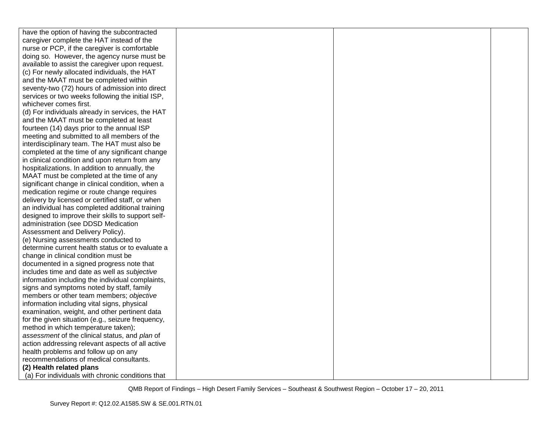| have the option of having the subcontracted       |  |  |
|---------------------------------------------------|--|--|
| caregiver complete the HAT instead of the         |  |  |
| nurse or PCP, if the caregiver is comfortable     |  |  |
| doing so. However, the agency nurse must be       |  |  |
| available to assist the caregiver upon request.   |  |  |
| (c) For newly allocated individuals, the HAT      |  |  |
| and the MAAT must be completed within             |  |  |
| seventy-two (72) hours of admission into direct   |  |  |
| services or two weeks following the initial ISP,  |  |  |
| whichever comes first.                            |  |  |
| (d) For individuals already in services, the HAT  |  |  |
| and the MAAT must be completed at least           |  |  |
| fourteen (14) days prior to the annual ISP        |  |  |
| meeting and submitted to all members of the       |  |  |
| interdisciplinary team. The HAT must also be      |  |  |
| completed at the time of any significant change   |  |  |
| in clinical condition and upon return from any    |  |  |
| hospitalizations. In addition to annually, the    |  |  |
| MAAT must be completed at the time of any         |  |  |
| significant change in clinical condition, when a  |  |  |
| medication regime or route change requires        |  |  |
| delivery by licensed or certified staff, or when  |  |  |
| an individual has completed additional training   |  |  |
| designed to improve their skills to support self- |  |  |
| administration (see DDSD Medication               |  |  |
| Assessment and Delivery Policy).                  |  |  |
| (e) Nursing assessments conducted to              |  |  |
| determine current health status or to evaluate a  |  |  |
| change in clinical condition must be              |  |  |
| documented in a signed progress note that         |  |  |
| includes time and date as well as subjective      |  |  |
| information including the individual complaints,  |  |  |
| signs and symptoms noted by staff, family         |  |  |
| members or other team members; objective          |  |  |
| information including vital signs, physical       |  |  |
| examination, weight, and other pertinent data     |  |  |
| for the given situation (e.g., seizure frequency, |  |  |
| method in which temperature taken);               |  |  |
| assessment of the clinical status, and plan of    |  |  |
| action addressing relevant aspects of all active  |  |  |
| health problems and follow up on any              |  |  |
| recommendations of medical consultants.           |  |  |
| (2) Health related plans                          |  |  |
| (a) For individuals with chronic conditions that  |  |  |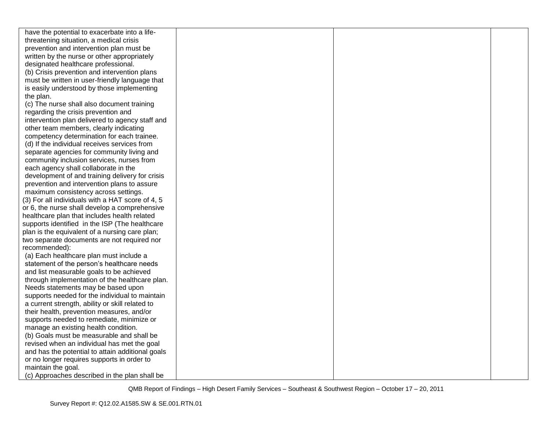| have the potential to exacerbate into a life-    |  |  |
|--------------------------------------------------|--|--|
| threatening situation, a medical crisis          |  |  |
| prevention and intervention plan must be         |  |  |
| written by the nurse or other appropriately      |  |  |
| designated healthcare professional.              |  |  |
| (b) Crisis prevention and intervention plans     |  |  |
| must be written in user-friendly language that   |  |  |
| is easily understood by those implementing       |  |  |
| the plan.                                        |  |  |
| (c) The nurse shall also document training       |  |  |
| regarding the crisis prevention and              |  |  |
| intervention plan delivered to agency staff and  |  |  |
| other team members, clearly indicating           |  |  |
| competency determination for each trainee.       |  |  |
| (d) If the individual receives services from     |  |  |
| separate agencies for community living and       |  |  |
| community inclusion services, nurses from        |  |  |
| each agency shall collaborate in the             |  |  |
| development of and training delivery for crisis  |  |  |
| prevention and intervention plans to assure      |  |  |
| maximum consistency across settings.             |  |  |
| (3) For all individuals with a HAT score of 4, 5 |  |  |
| or 6, the nurse shall develop a comprehensive    |  |  |
| healthcare plan that includes health related     |  |  |
| supports identified in the ISP (The healthcare   |  |  |
| plan is the equivalent of a nursing care plan;   |  |  |
| two separate documents are not required nor      |  |  |
| recommended):                                    |  |  |
| (a) Each healthcare plan must include a          |  |  |
| statement of the person's healthcare needs       |  |  |
| and list measurable goals to be achieved         |  |  |
| through implementation of the healthcare plan.   |  |  |
| Needs statements may be based upon               |  |  |
| supports needed for the individual to maintain   |  |  |
| a current strength, ability or skill related to  |  |  |
| their health, prevention measures, and/or        |  |  |
| supports needed to remediate, minimize or        |  |  |
| manage an existing health condition.             |  |  |
| (b) Goals must be measurable and shall be        |  |  |
| revised when an individual has met the goal      |  |  |
| and has the potential to attain additional goals |  |  |
| or no longer requires supports in order to       |  |  |
| maintain the goal.                               |  |  |
| (c) Approaches described in the plan shall be    |  |  |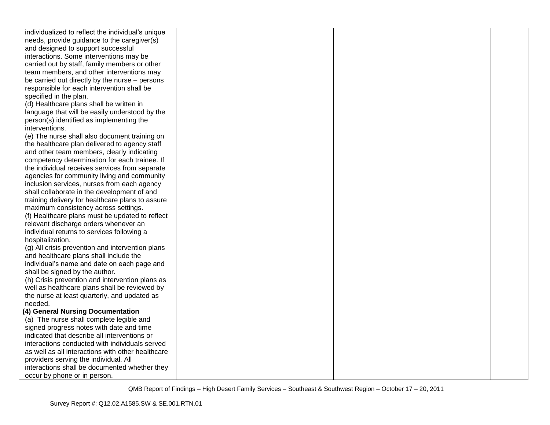| individualized to reflect the individual's unique                                                   |  |  |
|-----------------------------------------------------------------------------------------------------|--|--|
| needs, provide guidance to the caregiver(s)                                                         |  |  |
| and designed to support successful                                                                  |  |  |
| interactions. Some interventions may be                                                             |  |  |
| carried out by staff, family members or other                                                       |  |  |
| team members, and other interventions may                                                           |  |  |
| be carried out directly by the nurse - persons                                                      |  |  |
| responsible for each intervention shall be                                                          |  |  |
| specified in the plan.                                                                              |  |  |
| (d) Healthcare plans shall be written in                                                            |  |  |
| language that will be easily understood by the                                                      |  |  |
| person(s) identified as implementing the                                                            |  |  |
| interventions.                                                                                      |  |  |
| (e) The nurse shall also document training on                                                       |  |  |
| the healthcare plan delivered to agency staff                                                       |  |  |
| and other team members, clearly indicating                                                          |  |  |
| competency determination for each trainee. If                                                       |  |  |
| the individual receives services from separate                                                      |  |  |
| agencies for community living and community                                                         |  |  |
| inclusion services, nurses from each agency                                                         |  |  |
| shall collaborate in the development of and                                                         |  |  |
| training delivery for healthcare plans to assure                                                    |  |  |
| maximum consistency across settings.                                                                |  |  |
| (f) Healthcare plans must be updated to reflect                                                     |  |  |
| relevant discharge orders whenever an                                                               |  |  |
| individual returns to services following a                                                          |  |  |
| hospitalization.                                                                                    |  |  |
| (g) All crisis prevention and intervention plans                                                    |  |  |
| and healthcare plans shall include the                                                              |  |  |
| individual's name and date on each page and                                                         |  |  |
| shall be signed by the author.                                                                      |  |  |
| (h) Crisis prevention and intervention plans as                                                     |  |  |
| well as healthcare plans shall be reviewed by                                                       |  |  |
| the nurse at least quarterly, and updated as                                                        |  |  |
| needed.                                                                                             |  |  |
| (4) General Nursing Documentation                                                                   |  |  |
| (a) The nurse shall complete legible and                                                            |  |  |
| signed progress notes with date and time<br>indicated that describe all interventions or            |  |  |
|                                                                                                     |  |  |
| interactions conducted with individuals served<br>as well as all interactions with other healthcare |  |  |
|                                                                                                     |  |  |
| providers serving the individual. All<br>interactions shall be documented whether they              |  |  |
|                                                                                                     |  |  |
| occur by phone or in person.                                                                        |  |  |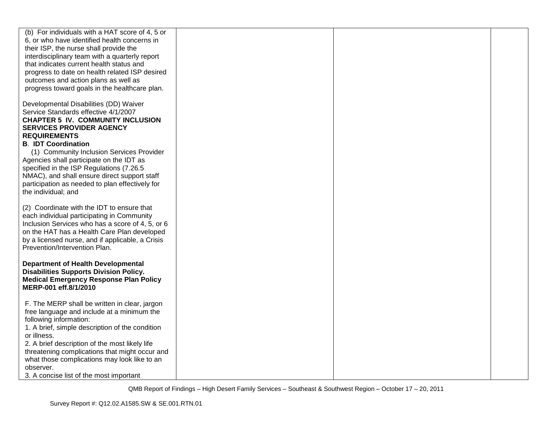| (b) For individuals with a HAT score of 4, 5 or<br>6, or who have identified health concerns in<br>their ISP, the nurse shall provide the<br>interdisciplinary team with a quarterly report<br>that indicates current health status and<br>progress to date on health related ISP desired<br>outcomes and action plans as well as<br>progress toward goals in the healthcare plan.                                                                                                |  |  |
|-----------------------------------------------------------------------------------------------------------------------------------------------------------------------------------------------------------------------------------------------------------------------------------------------------------------------------------------------------------------------------------------------------------------------------------------------------------------------------------|--|--|
| Developmental Disabilities (DD) Waiver<br>Service Standards effective 4/1/2007<br><b>CHAPTER 5 IV. COMMUNITY INCLUSION</b><br><b>SERVICES PROVIDER AGENCY</b><br><b>REQUIREMENTS</b><br><b>B. IDT Coordination</b><br>(1) Community Inclusion Services Provider<br>Agencies shall participate on the IDT as<br>specified in the ISP Regulations (7.26.5<br>NMAC), and shall ensure direct support staff<br>participation as needed to plan effectively for<br>the individual; and |  |  |
| (2) Coordinate with the IDT to ensure that<br>each individual participating in Community<br>Inclusion Services who has a score of 4, 5, or 6<br>on the HAT has a Health Care Plan developed<br>by a licensed nurse, and if applicable, a Crisis<br>Prevention/Intervention Plan.                                                                                                                                                                                                  |  |  |
| <b>Department of Health Developmental</b><br><b>Disabilities Supports Division Policy.</b><br><b>Medical Emergency Response Plan Policy</b><br>MERP-001 eff.8/1/2010                                                                                                                                                                                                                                                                                                              |  |  |
| F. The MERP shall be written in clear, jargon<br>free language and include at a minimum the<br>following information:<br>1. A brief, simple description of the condition<br>or illness.<br>2. A brief description of the most likely life<br>threatening complications that might occur and<br>what those complications may look like to an<br>observer.<br>3. A concise list of the most important                                                                               |  |  |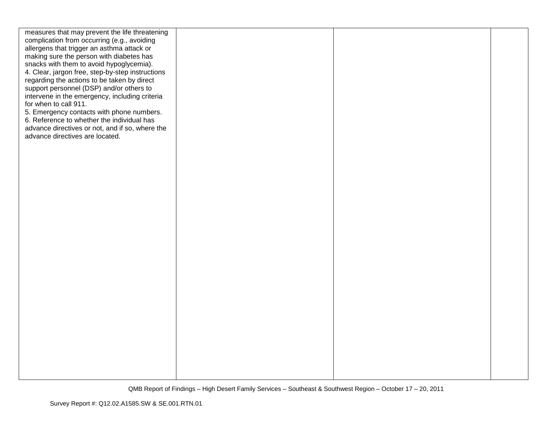| measures that may prevent the life threatening<br>complication from occurring (e.g., avoiding<br>allergens that trigger an asthma attack or<br>making sure the person with diabetes has<br>snacks with them to avoid hypoglycemia).<br>4. Clear, jargon free, step-by-step instructions<br>regarding the actions to be taken by direct<br>support personnel (DSP) and/or others to<br>intervene in the emergency, including criteria<br>for when to call 911.<br>5. Emergency contacts with phone numbers.<br>6. Reference to whether the individual has<br>advance directives or not, and if so, where the<br>advance directives are located. |  |  |
|------------------------------------------------------------------------------------------------------------------------------------------------------------------------------------------------------------------------------------------------------------------------------------------------------------------------------------------------------------------------------------------------------------------------------------------------------------------------------------------------------------------------------------------------------------------------------------------------------------------------------------------------|--|--|
|                                                                                                                                                                                                                                                                                                                                                                                                                                                                                                                                                                                                                                                |  |  |
|                                                                                                                                                                                                                                                                                                                                                                                                                                                                                                                                                                                                                                                |  |  |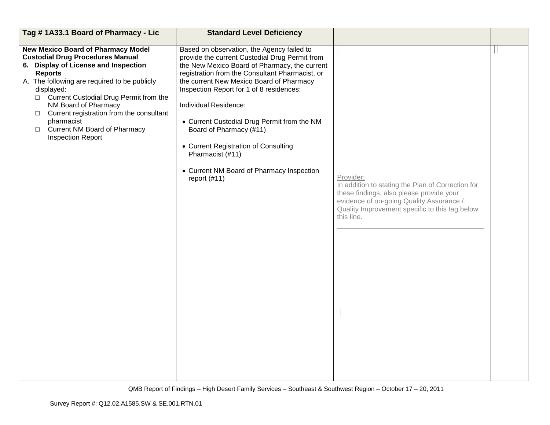| Tag #1A33.1 Board of Pharmacy - Lic                                                                                                                                                                                                                                                                                                                                                                                            | <b>Standard Level Deficiency</b>                                                                                                                                                                                                                                                                                                                                                                                                                                                                                       |                                                                                                                                                                                                                        |  |
|--------------------------------------------------------------------------------------------------------------------------------------------------------------------------------------------------------------------------------------------------------------------------------------------------------------------------------------------------------------------------------------------------------------------------------|------------------------------------------------------------------------------------------------------------------------------------------------------------------------------------------------------------------------------------------------------------------------------------------------------------------------------------------------------------------------------------------------------------------------------------------------------------------------------------------------------------------------|------------------------------------------------------------------------------------------------------------------------------------------------------------------------------------------------------------------------|--|
| <b>New Mexico Board of Pharmacy Model</b><br><b>Custodial Drug Procedures Manual</b><br>6. Display of License and Inspection<br><b>Reports</b><br>A. The following are required to be publicly<br>displayed:<br>□ Current Custodial Drug Permit from the<br>NM Board of Pharmacy<br>$\Box$ Current registration from the consultant<br>pharmacist<br><b>Current NM Board of Pharmacy</b><br>$\Box$<br><b>Inspection Report</b> | Based on observation, the Agency failed to<br>provide the current Custodial Drug Permit from<br>the New Mexico Board of Pharmacy, the current<br>registration from the Consultant Pharmacist, or<br>the current New Mexico Board of Pharmacy<br>Inspection Report for 1 of 8 residences:<br>Individual Residence:<br>• Current Custodial Drug Permit from the NM<br>Board of Pharmacy (#11)<br>• Current Registration of Consulting<br>Pharmacist (#11)<br>• Current NM Board of Pharmacy Inspection<br>report $(#11)$ | Provider:<br>In addition to stating the Plan of Correction for<br>these findings, also please provide your<br>evidence of on-going Quality Assurance /<br>Quality Improvement specific to this tag below<br>this line. |  |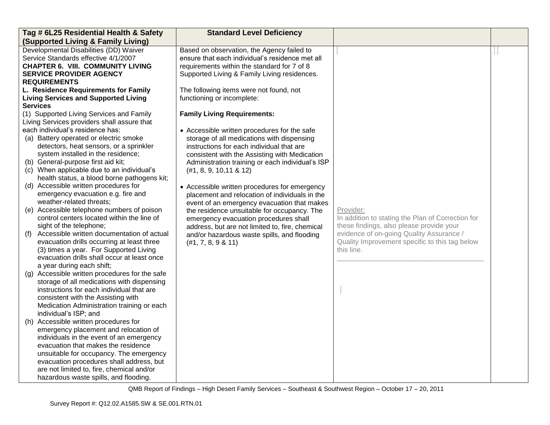| Tag # 6L25 Residential Health & Safety                                      | <b>Standard Level Deficiency</b>                 |                                                   |  |
|-----------------------------------------------------------------------------|--------------------------------------------------|---------------------------------------------------|--|
| <b>(Supported Living &amp; Family Living)</b>                               |                                                  |                                                   |  |
| Developmental Disabilities (DD) Waiver                                      | Based on observation, the Agency failed to       |                                                   |  |
| Service Standards effective 4/1/2007                                        | ensure that each individual's residence met all  |                                                   |  |
| <b>CHAPTER 6. VIII. COMMUNITY LIVING</b>                                    | requirements within the standard for 7 of 8      |                                                   |  |
| <b>SERVICE PROVIDER AGENCY</b>                                              | Supported Living & Family Living residences.     |                                                   |  |
| <b>REQUIREMENTS</b>                                                         |                                                  |                                                   |  |
| L. Residence Requirements for Family                                        | The following items were not found, not          |                                                   |  |
| <b>Living Services and Supported Living</b>                                 | functioning or incomplete:                       |                                                   |  |
| <b>Services</b>                                                             |                                                  |                                                   |  |
| (1) Supported Living Services and Family                                    | <b>Family Living Requirements:</b>               |                                                   |  |
| Living Services providers shall assure that                                 |                                                  |                                                   |  |
| each individual's residence has:                                            | • Accessible written procedures for the safe     |                                                   |  |
| (a) Battery operated or electric smoke                                      | storage of all medications with dispensing       |                                                   |  |
| detectors, heat sensors, or a sprinkler                                     | instructions for each individual that are        |                                                   |  |
| system installed in the residence;                                          | consistent with the Assisting with Medication    |                                                   |  |
| (b) General-purpose first aid kit;                                          | Administration training or each individual's ISP |                                                   |  |
| (c) When applicable due to an individual's                                  | (#1, 8, 9, 10, 11 & 8 12)                        |                                                   |  |
| health status, a blood borne pathogens kit;                                 |                                                  |                                                   |  |
| (d) Accessible written procedures for                                       | • Accessible written procedures for emergency    |                                                   |  |
| emergency evacuation e.g. fire and                                          | placement and relocation of individuals in the   |                                                   |  |
| weather-related threats;                                                    | event of an emergency evacuation that makes      |                                                   |  |
| (e) Accessible telephone numbers of poison                                  | the residence unsuitable for occupancy. The      | Provider:                                         |  |
| control centers located within the line of                                  | emergency evacuation procedures shall            | In addition to stating the Plan of Correction for |  |
| sight of the telephone;                                                     | address, but are not limited to, fire, chemical  | these findings, also please provide your          |  |
| Accessible written documentation of actual<br>(f)                           | and/or hazardous waste spills, and flooding      | evidence of on-going Quality Assurance /          |  |
| evacuation drills occurring at least three                                  | (#1, 7, 8, 9 & 11)                               | Quality Improvement specific to this tag below    |  |
| (3) times a year. For Supported Living                                      |                                                  | this line.                                        |  |
| evacuation drills shall occur at least once                                 |                                                  |                                                   |  |
| a year during each shift;<br>(g) Accessible written procedures for the safe |                                                  |                                                   |  |
| storage of all medications with dispensing                                  |                                                  |                                                   |  |
| instructions for each individual that are                                   |                                                  |                                                   |  |
| consistent with the Assisting with                                          |                                                  |                                                   |  |
| Medication Administration training or each                                  |                                                  |                                                   |  |
| individual's ISP; and                                                       |                                                  |                                                   |  |
| (h) Accessible written procedures for                                       |                                                  |                                                   |  |
| emergency placement and relocation of                                       |                                                  |                                                   |  |
| individuals in the event of an emergency                                    |                                                  |                                                   |  |
| evacuation that makes the residence                                         |                                                  |                                                   |  |
| unsuitable for occupancy. The emergency                                     |                                                  |                                                   |  |
| evacuation procedures shall address, but                                    |                                                  |                                                   |  |
| are not limited to, fire, chemical and/or                                   |                                                  |                                                   |  |
| hazardous waste spills, and flooding.                                       |                                                  |                                                   |  |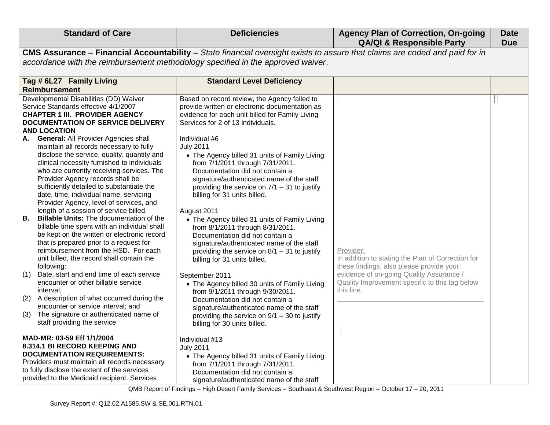| <b>Standard of Care</b>                                                                                                                                                                                                                                                                                                                                                                                                                                                                                                                                                                                                                                                                                                                                                                                                                                                                                                                                                                                                                                                                                                                                                                                                                                        | <b>Deficiencies</b>                                                                                                                                                                                                                                                                                                                                                                                                                                                                                                                                                                                                                                                                                                                                                                                                                                                                                                                                                                                                               | <b>Agency Plan of Correction, On-going</b><br><b>QA/QI &amp; Responsible Party</b>                                                                                                                                     | <b>Date</b><br><b>Due</b> |  |
|----------------------------------------------------------------------------------------------------------------------------------------------------------------------------------------------------------------------------------------------------------------------------------------------------------------------------------------------------------------------------------------------------------------------------------------------------------------------------------------------------------------------------------------------------------------------------------------------------------------------------------------------------------------------------------------------------------------------------------------------------------------------------------------------------------------------------------------------------------------------------------------------------------------------------------------------------------------------------------------------------------------------------------------------------------------------------------------------------------------------------------------------------------------------------------------------------------------------------------------------------------------|-----------------------------------------------------------------------------------------------------------------------------------------------------------------------------------------------------------------------------------------------------------------------------------------------------------------------------------------------------------------------------------------------------------------------------------------------------------------------------------------------------------------------------------------------------------------------------------------------------------------------------------------------------------------------------------------------------------------------------------------------------------------------------------------------------------------------------------------------------------------------------------------------------------------------------------------------------------------------------------------------------------------------------------|------------------------------------------------------------------------------------------------------------------------------------------------------------------------------------------------------------------------|---------------------------|--|
|                                                                                                                                                                                                                                                                                                                                                                                                                                                                                                                                                                                                                                                                                                                                                                                                                                                                                                                                                                                                                                                                                                                                                                                                                                                                | CMS Assurance - Financial Accountability - State financial oversight exists to assure that claims are coded and paid for in                                                                                                                                                                                                                                                                                                                                                                                                                                                                                                                                                                                                                                                                                                                                                                                                                                                                                                       |                                                                                                                                                                                                                        |                           |  |
| accordance with the reimbursement methodology specified in the approved waiver.                                                                                                                                                                                                                                                                                                                                                                                                                                                                                                                                                                                                                                                                                                                                                                                                                                                                                                                                                                                                                                                                                                                                                                                |                                                                                                                                                                                                                                                                                                                                                                                                                                                                                                                                                                                                                                                                                                                                                                                                                                                                                                                                                                                                                                   |                                                                                                                                                                                                                        |                           |  |
| Tag # 6L27 Family Living                                                                                                                                                                                                                                                                                                                                                                                                                                                                                                                                                                                                                                                                                                                                                                                                                                                                                                                                                                                                                                                                                                                                                                                                                                       | <b>Standard Level Deficiency</b>                                                                                                                                                                                                                                                                                                                                                                                                                                                                                                                                                                                                                                                                                                                                                                                                                                                                                                                                                                                                  |                                                                                                                                                                                                                        |                           |  |
| <b>Reimbursement</b><br>Developmental Disabilities (DD) Waiver<br>Service Standards effective 4/1/2007<br><b>CHAPTER 1 III. PROVIDER AGENCY</b><br>DOCUMENTATION OF SERVICE DELIVERY<br><b>AND LOCATION</b><br><b>General: All Provider Agencies shall</b><br>А.<br>maintain all records necessary to fully<br>disclose the service, quality, quantity and<br>clinical necessity furnished to individuals<br>who are currently receiving services. The<br>Provider Agency records shall be<br>sufficiently detailed to substantiate the<br>date, time, individual name, servicing<br>Provider Agency, level of services, and<br>length of a session of service billed.<br>В.<br><b>Billable Units:</b> The documentation of the<br>billable time spent with an individual shall<br>be kept on the written or electronic record<br>that is prepared prior to a request for<br>reimbursement from the HSD. For each<br>unit billed, the record shall contain the<br>following:<br>Date, start and end time of each service<br>(1)<br>encounter or other billable service<br>interval;<br>A description of what occurred during the<br>(2)<br>encounter or service interval; and<br>The signature or authenticated name of<br>(3)<br>staff providing the service. | Based on record review, the Agency failed to<br>provide written or electronic documentation as<br>evidence for each unit billed for Family Living<br>Services for 2 of 13 individuals.<br>Individual #6<br><b>July 2011</b><br>• The Agency billed 31 units of Family Living<br>from 7/1/2011 through 7/31/2011.<br>Documentation did not contain a<br>signature/authenticated name of the staff<br>providing the service on $7/1 - 31$ to justify<br>billing for 31 units billed.<br>August 2011<br>• The Agency billed 31 units of Family Living<br>from 8/1/2011 through 8/31/2011.<br>Documentation did not contain a<br>signature/authenticated name of the staff<br>providing the service on $8/1 - 31$ to justify<br>billing for 31 units billed.<br>September 2011<br>• The Agency billed 30 units of Family Living<br>from 9/1/2011 through 9/30/2011.<br>Documentation did not contain a<br>signature/authenticated name of the staff<br>providing the service on $9/1 - 30$ to justify<br>billing for 30 units billed. | Provider:<br>In addition to stating the Plan of Correction for<br>these findings, also please provide your<br>evidence of on-going Quality Assurance /<br>Quality Improvement specific to this tag below<br>this line. |                           |  |
| MAD-MR: 03-59 Eff 1/1/2004<br>8.314.1 BI RECORD KEEPING AND<br><b>DOCUMENTATION REQUIREMENTS:</b><br>Providers must maintain all records necessary<br>to fully disclose the extent of the services<br>provided to the Medicaid recipient. Services                                                                                                                                                                                                                                                                                                                                                                                                                                                                                                                                                                                                                                                                                                                                                                                                                                                                                                                                                                                                             | Individual #13<br><b>July 2011</b><br>• The Agency billed 31 units of Family Living<br>from 7/1/2011 through 7/31/2011.<br>Documentation did not contain a<br>signature/authenticated name of the staff                                                                                                                                                                                                                                                                                                                                                                                                                                                                                                                                                                                                                                                                                                                                                                                                                           |                                                                                                                                                                                                                        |                           |  |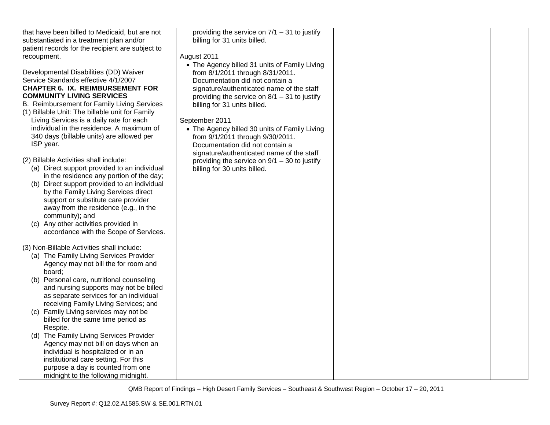| that have been billed to Medicaid, but are not   | providing the service on $7/1 - 31$ to justify |  |
|--------------------------------------------------|------------------------------------------------|--|
| substantiated in a treatment plan and/or         | billing for 31 units billed.                   |  |
| patient records for the recipient are subject to |                                                |  |
| recoupment.                                      | August 2011                                    |  |
|                                                  | • The Agency billed 31 units of Family Living  |  |
| Developmental Disabilities (DD) Waiver           | from 8/1/2011 through 8/31/2011.               |  |
| Service Standards effective 4/1/2007             | Documentation did not contain a                |  |
| <b>CHAPTER 6. IX. REIMBURSEMENT FOR</b>          | signature/authenticated name of the staff      |  |
| <b>COMMUNITY LIVING SERVICES</b>                 | providing the service on $8/1 - 31$ to justify |  |
| B. Reimbursement for Family Living Services      | billing for 31 units billed.                   |  |
| (1) Billable Unit: The billable unit for Family  |                                                |  |
| Living Services is a daily rate for each         |                                                |  |
| individual in the residence. A maximum of        | September 2011                                 |  |
|                                                  | • The Agency billed 30 units of Family Living  |  |
| 340 days (billable units) are allowed per        | from 9/1/2011 through 9/30/2011.               |  |
| ISP year.                                        | Documentation did not contain a                |  |
|                                                  | signature/authenticated name of the staff      |  |
| (2) Billable Activities shall include:           | providing the service on $9/1 - 30$ to justify |  |
| (a) Direct support provided to an individual     | billing for 30 units billed.                   |  |
| in the residence any portion of the day;         |                                                |  |
| (b) Direct support provided to an individual     |                                                |  |
| by the Family Living Services direct             |                                                |  |
| support or substitute care provider              |                                                |  |
| away from the residence (e.g., in the            |                                                |  |
| community); and                                  |                                                |  |
| (c) Any other activities provided in             |                                                |  |
| accordance with the Scope of Services.           |                                                |  |
|                                                  |                                                |  |
| (3) Non-Billable Activities shall include:       |                                                |  |
| (a) The Family Living Services Provider          |                                                |  |
| Agency may not bill the for room and             |                                                |  |
| board:                                           |                                                |  |
| (b) Personal care, nutritional counseling        |                                                |  |
| and nursing supports may not be billed           |                                                |  |
| as separate services for an individual           |                                                |  |
|                                                  |                                                |  |
| receiving Family Living Services; and            |                                                |  |
| (c) Family Living services may not be            |                                                |  |
| billed for the same time period as               |                                                |  |
| Respite.                                         |                                                |  |
| (d) The Family Living Services Provider          |                                                |  |
| Agency may not bill on days when an              |                                                |  |
| individual is hospitalized or in an              |                                                |  |
| institutional care setting. For this             |                                                |  |
| purpose a day is counted from one                |                                                |  |
| midnight to the following midnight.              |                                                |  |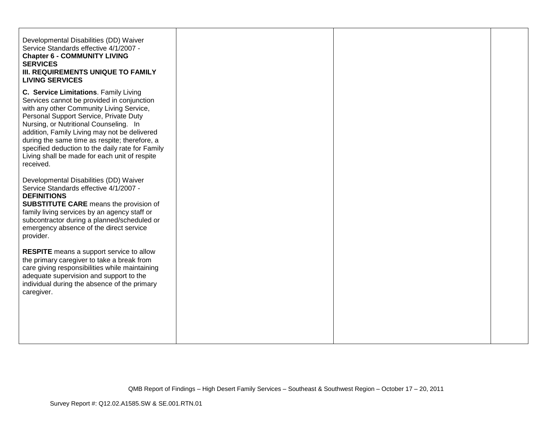| <b>LIVING SERVICES</b>                                                                                                                                                                                                                                                                                                                                                                                                                 |  |
|----------------------------------------------------------------------------------------------------------------------------------------------------------------------------------------------------------------------------------------------------------------------------------------------------------------------------------------------------------------------------------------------------------------------------------------|--|
| C. Service Limitations. Family Living<br>Services cannot be provided in conjunction<br>with any other Community Living Service,<br>Personal Support Service, Private Duty<br>Nursing, or Nutritional Counseling. In<br>addition, Family Living may not be delivered<br>during the same time as respite; therefore, a<br>specified deduction to the daily rate for Family<br>Living shall be made for each unit of respite<br>received. |  |
| Developmental Disabilities (DD) Waiver<br>Service Standards effective 4/1/2007 -<br><b>DEFINITIONS</b><br><b>SUBSTITUTE CARE</b> means the provision of<br>family living services by an agency staff or<br>subcontractor during a planned/scheduled or<br>emergency absence of the direct service<br>provider.                                                                                                                         |  |
| <b>RESPITE</b> means a support service to allow<br>the primary caregiver to take a break from<br>care giving responsibilities while maintaining<br>adequate supervision and support to the<br>individual during the absence of the primary<br>caregiver.                                                                                                                                                                               |  |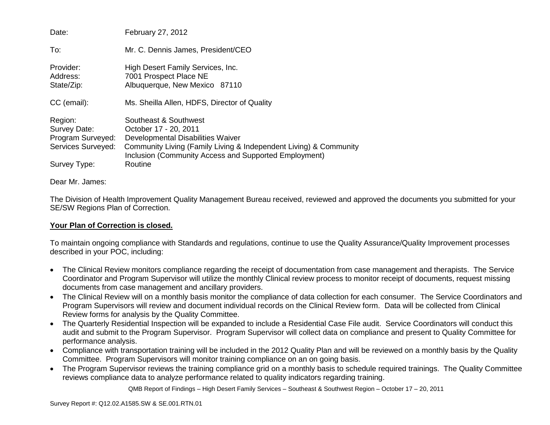| Date:                                                              | February 27, 2012                                                                                                                                                                                                 |
|--------------------------------------------------------------------|-------------------------------------------------------------------------------------------------------------------------------------------------------------------------------------------------------------------|
| To:                                                                | Mr. C. Dennis James, President/CEO                                                                                                                                                                                |
| Provider:<br>Address:<br>State/Zip:                                | High Desert Family Services, Inc.<br>7001 Prospect Place NE<br>Albuquerque, New Mexico 87110                                                                                                                      |
| CC (email):                                                        | Ms. Sheilla Allen, HDFS, Director of Quality                                                                                                                                                                      |
| Region:<br>Survey Date:<br>Program Surveyed:<br>Services Surveyed: | Southeast & Southwest<br>October 17 - 20, 2011<br>Developmental Disabilities Waiver<br>Community Living (Family Living & Independent Living) & Community<br>Inclusion (Community Access and Supported Employment) |
| Survey Type:                                                       | Routine                                                                                                                                                                                                           |

#### Dear Mr. James:

The Division of Health Improvement Quality Management Bureau received, reviewed and approved the documents you submitted for your SE/SW Regions Plan of Correction.

#### **Your Plan of Correction is closed.**

To maintain ongoing compliance with Standards and regulations, continue to use the Quality Assurance/Quality Improvement processes described in your POC, including:

- The Clinical Review monitors compliance regarding the receipt of documentation from case management and therapists. The Service Coordinator and Program Supervisor will utilize the monthly Clinical review process to monitor receipt of documents, request missing documents from case management and ancillary providers.
- The Clinical Review will on a monthly basis monitor the compliance of data collection for each consumer. The Service Coordinators and Program Supervisors will review and document individual records on the Clinical Review form. Data will be collected from Clinical Review forms for analysis by the Quality Committee.
- The Quarterly Residential Inspection will be expanded to include a Residential Case File audit. Service Coordinators will conduct this audit and submit to the Program Supervisor. Program Supervisor will collect data on compliance and present to Quality Committee for performance analysis.
- Compliance with transportation training will be included in the 2012 Quality Plan and will be reviewed on a monthly basis by the Quality Committee. Program Supervisors will monitor training compliance on an on going basis.
- The Program Supervisor reviews the training compliance grid on a monthly basis to schedule required trainings. The Quality Committee reviews compliance data to analyze performance related to quality indicators regarding training.